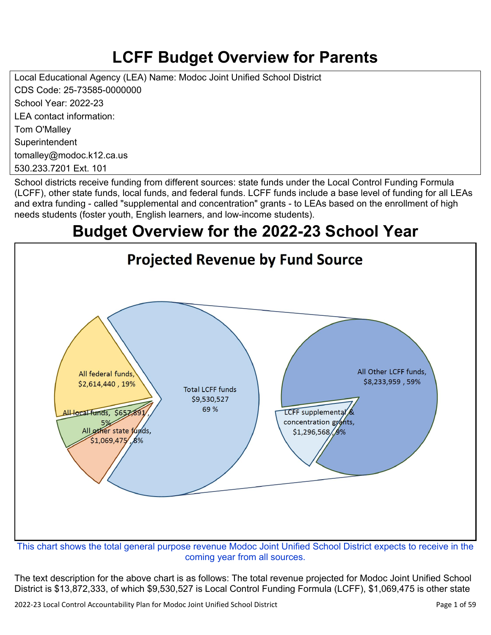# **LCFF Budget Overview for Parents**

Local Educational Agency (LEA) Name: Modoc Joint Unified School District CDS Code: 25-73585-0000000 School Year: 2022-23 LEA contact information: Tom O'Malley **Superintendent** tomalley@modoc.k12.ca.us 530.233.7201 Ext. 101

School districts receive funding from different sources: state funds under the Local Control Funding Formula (LCFF), other state funds, local funds, and federal funds. LCFF funds include a base level of funding for all LEAs and extra funding - called "supplemental and concentration" grants - to LEAs based on the enrollment of high needs students (foster youth, English learners, and low-income students).

# **Budget Overview for the 2022-23 School Year**



coming year from all sources.

The text description for the above chart is as follows: The total revenue projected for Modoc Joint Unified School District is \$13,872,333, of which \$9,530,527 is Local Control Funding Formula (LCFF), \$1,069,475 is other state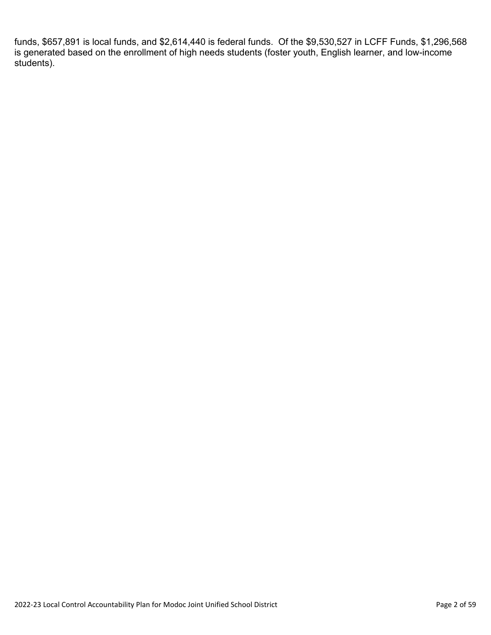funds, \$657,891 is local funds, and \$2,614,440 is federal funds. Of the \$9,530,527 in LCFF Funds, \$1,296,568 is generated based on the enrollment of high needs students (foster youth, English learner, and low-income students).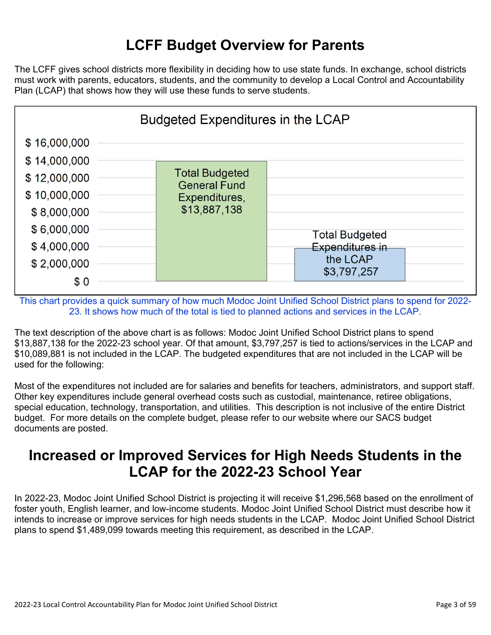## **LCFF Budget Overview for Parents**

The LCFF gives school districts more flexibility in deciding how to use state funds. In exchange, school districts must work with parents, educators, students, and the community to develop a Local Control and Accountability Plan (LCAP) that shows how they will use these funds to serve students.



This chart provides a quick summary of how much Modoc Joint Unified School District plans to spend for 2022- 23. It shows how much of the total is tied to planned actions and services in the LCAP.

The text description of the above chart is as follows: Modoc Joint Unified School District plans to spend \$13,887,138 for the 2022-23 school year. Of that amount, \$3,797,257 is tied to actions/services in the LCAP and \$10,089,881 is not included in the LCAP. The budgeted expenditures that are not included in the LCAP will be used for the following:

Most of the expenditures not included are for salaries and benefits for teachers, administrators, and support staff. Other key expenditures include general overhead costs such as custodial, maintenance, retiree obligations, special education, technology, transportation, and utilities. This description is not inclusive of the entire District budget. For more details on the complete budget, please refer to our website where our SACS budget documents are posted.

## **Increased or Improved Services for High Needs Students in the LCAP for the 2022-23 School Year**

In 2022-23, Modoc Joint Unified School District is projecting it will receive \$1,296,568 based on the enrollment of foster youth, English learner, and low-income students. Modoc Joint Unified School District must describe how it intends to increase or improve services for high needs students in the LCAP. Modoc Joint Unified School District plans to spend \$1,489,099 towards meeting this requirement, as described in the LCAP.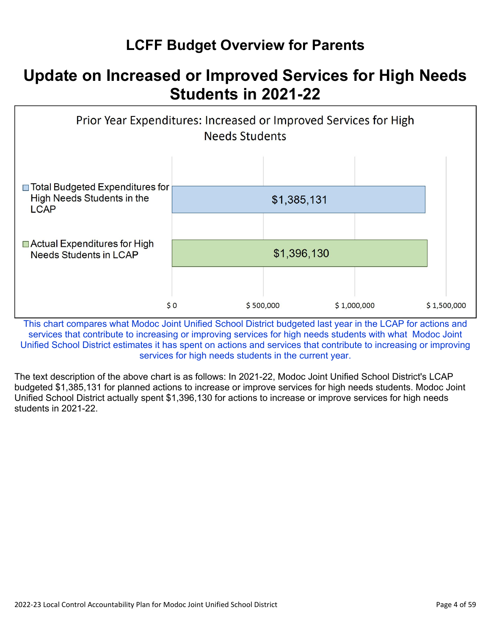## **LCFF Budget Overview for Parents**

# **Update on Increased or Improved Services for High Needs Students in 2021-22**



This chart compares what Modoc Joint Unified School District budgeted last year in the LCAP for actions and services that contribute to increasing or improving services for high needs students with what Modoc Joint Unified School District estimates it has spent on actions and services that contribute to increasing or improving services for high needs students in the current year.

The text description of the above chart is as follows: In 2021-22, Modoc Joint Unified School District's LCAP budgeted \$1,385,131 for planned actions to increase or improve services for high needs students. Modoc Joint Unified School District actually spent \$1,396,130 for actions to increase or improve services for high needs students in 2021-22.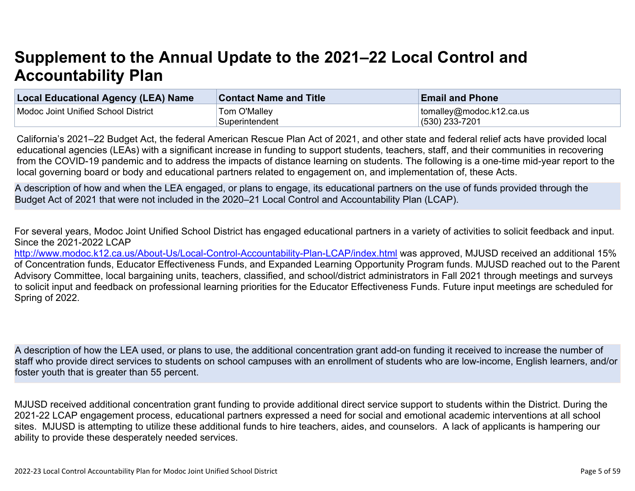# **Supplement to the Annual Update to the 2021–22 Local Control and Accountability Plan**

| <b>Local Educational Agency (LEA) Name</b> | <b>Contact Name and Title</b> | <b>Email and Phone</b>           |
|--------------------------------------------|-------------------------------|----------------------------------|
| Modoc Joint Unified School District        | Tom O'Malley                  | $\vert$ tomalley@modoc.k12.ca.us |
|                                            | Superintendent                | $(530)$ 233-7201                 |

California's 2021–22 Budget Act, the federal American Rescue Plan Act of 2021, and other state and federal relief acts have provided local educational agencies (LEAs) with a significant increase in funding to support students, teachers, staff, and their communities in recovering from the COVID-19 pandemic and to address the impacts of distance learning on students. The following is a one-time mid-year report to the local governing board or body and educational partners related to engagement on, and implementation of, these Acts.

A description of how and when the LEA engaged, or plans to engage, its educational partners on the use of funds provided through the Budget Act of 2021 that were not included in the 2020–21 Local Control and Accountability Plan (LCAP).

For several years, Modoc Joint Unified School District has engaged educational partners in a variety of activities to solicit feedback and input. Since the 2021-2022 LCAP

<http://www.modoc.k12.ca.us/About-Us/Local-Control-Accountability-Plan-LCAP/index.html>was approved, MJUSD received an additional 15% of Concentration funds, Educator Effectiveness Funds, and Expanded Learning Opportunity Program funds. MJUSD reached out to the Parent Advisory Committee, local bargaining units, teachers, classified, and school/district administrators in Fall 2021 through meetings and surveys to solicit input and feedback on professional learning priorities for the Educator Effectiveness Funds. Future input meetings are scheduled for Spring of 2022.

A description of how the LEA used, or plans to use, the additional concentration grant add-on funding it received to increase the number of staff who provide direct services to students on school campuses with an enrollment of students who are low-income, English learners, and/or foster youth that is greater than 55 percent.

MJUSD received additional concentration grant funding to provide additional direct service support to students within the District. During the 2021-22 LCAP engagement process, educational partners expressed a need for social and emotional academic interventions at all school sites. MJUSD is attempting to utilize these additional funds to hire teachers, aides, and counselors. A lack of applicants is hampering our ability to provide these desperately needed services.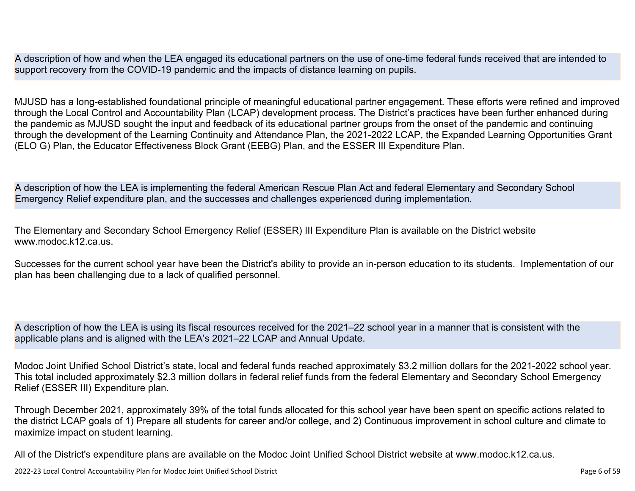A description of how and when the LEA engaged its educational partners on the use of one-time federal funds received that are intended to support recovery from the COVID-19 pandemic and the impacts of distance learning on pupils.

MJUSD has a long-established foundational principle of meaningful educational partner engagement. These efforts were refined and improved through the Local Control and Accountability Plan (LCAP) development process. The District's practices have been further enhanced during the pandemic as MJUSD sought the input and feedback of its educational partner groups from the onset of the pandemic and continuing through the development of the Learning Continuity and Attendance Plan, the 2021-2022 LCAP, the Expanded Learning Opportunities Grant (ELO G) Plan, the Educator Effectiveness Block Grant (EEBG) Plan, and the ESSER III Expenditure Plan.

A description of how the LEA is implementing the federal American Rescue Plan Act and federal Elementary and Secondary School Emergency Relief expenditure plan, and the successes and challenges experienced during implementation.

The Elementary and Secondary School Emergency Relief (ESSER) III Expenditure Plan is available on the District website www.modoc.k12.ca.us.

Successes for the current school year have been the District's ability to provide an in-person education to its students. Implementation of our plan has been challenging due to a lack of qualified personnel.

A description of how the LEA is using its fiscal resources received for the 2021–22 school year in a manner that is consistent with the applicable plans and is aligned with the LEA's 2021–22 LCAP and Annual Update.

Modoc Joint Unified School District's state, local and federal funds reached approximately \$3.2 million dollars for the 2021-2022 school year. This total included approximately \$2.3 million dollars in federal relief funds from the federal Elementary and Secondary School Emergency Relief (ESSER III) Expenditure plan.

Through December 2021, approximately 39% of the total funds allocated for this school year have been spent on specific actions related to the district LCAP goals of 1) Prepare all students for career and/or college, and 2) Continuous improvement in school culture and climate to maximize impact on student learning.

All of the District's expenditure plans are available on the Modoc Joint Unified School District website at www.modoc.k12.ca.us.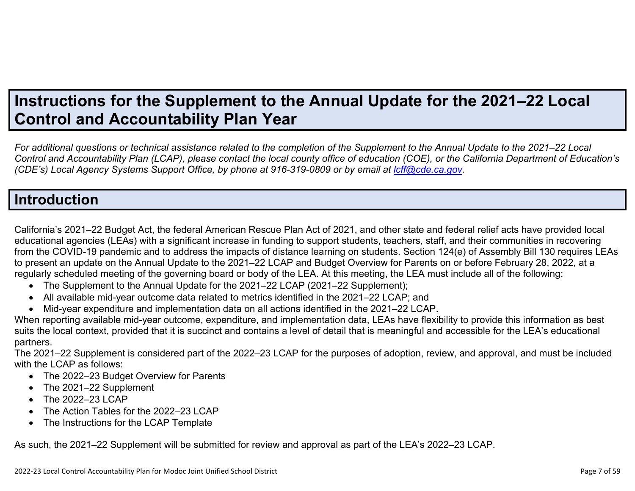# **Instructions for the Supplement to the Annual Update for the 2021–22 Local Control and Accountability Plan Year**

*For additional questions or technical assistance related to the completion of the Supplement to the Annual Update to the 2021–22 Local Control and Accountability Plan (LCAP), please contact the local county office of education (COE), or the California Department of Education's (CDE's)* Local Agency Systems Support Office, by phone at 916-319-0809 or by email at *[lcff@cde.ca.gov](mailto:lcff@cde.ca.gov)*.

## **Introduction**

California's 2021–22 Budget Act, the federal American Rescue Plan Act of 2021, and other state and federal relief acts have provided local educational agencies (LEAs) with a significant increase in funding to support students, teachers, staff, and their communities in recovering from the COVID-19 pandemic and to address the impacts of distance learning on students. Section 124(e) of Assembly Bill 130 requires LEAs to present an update on the Annual Update to the 2021–22 LCAP and Budget Overview for Parents on or before February 28, 2022, at a regularly scheduled meeting of the governing board or body of the LEA. At this meeting, the LEA must include all of the following:

- The Supplement to the Annual Update for the 2021–22 LCAP (2021–22 Supplement);
- All available mid-year outcome data related to metrics identified in the 2021–22 LCAP; and
- Mid-year expenditure and implementation data on all actions identified in the 2021–22 LCAP.

When reporting available mid-year outcome, expenditure, and implementation data, LEAs have flexibility to provide this information as best suits the local context, provided that it is succinct and contains a level of detail that is meaningful and accessible for the LEA's educational partners.

The 2021–22 Supplement is considered part of the 2022–23 LCAP for the purposes of adoption, review, and approval, and must be included with the LCAP as follows:

- The 2022–23 Budget Overview for Parents
- The 2021-22 Supplement
- The 2022-23 LCAP
- The Action Tables for the 2022–23 LCAP
- The Instructions for the LCAP Template

As such, the 2021–22 Supplement will be submitted for review and approval as part of the LEA's 2022–23 LCAP.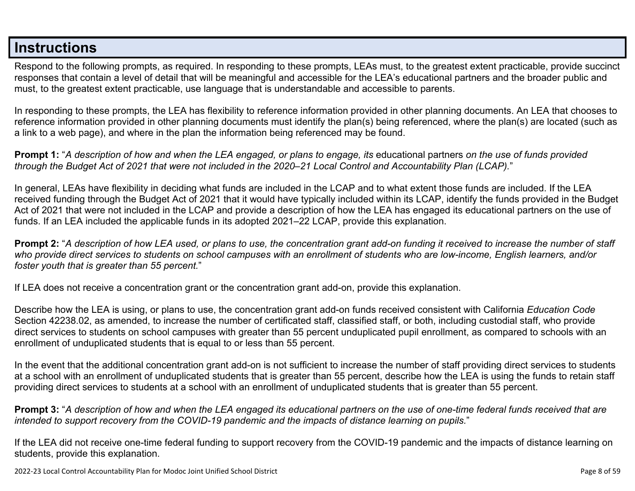## **Instructions**

Respond to the following prompts, as required. In responding to these prompts, LEAs must, to the greatest extent practicable, provide succinct responses that contain a level of detail that will be meaningful and accessible for the LEA's educational partners and the broader public and must, to the greatest extent practicable, use language that is understandable and accessible to parents.

In responding to these prompts, the LEA has flexibility to reference information provided in other planning documents. An LEA that chooses to reference information provided in other planning documents must identify the plan(s) being referenced, where the plan(s) are located (such as a link to a web page), and where in the plan the information being referenced may be found.

**Prompt 1:** "*A description of how and when the LEA engaged, or plans to engage, its* educational partners *on the use of funds provided through the Budget Act of 2021 that were not included in the 2020–21 Local Control and Accountability Plan (LCAP).*"

In general, LEAs have flexibility in deciding what funds are included in the LCAP and to what extent those funds are included. If the LEA received funding through the Budget Act of 2021 that it would have typically included within its LCAP, identify the funds provided in the Budget Act of 2021 that were not included in the LCAP and provide a description of how the LEA has engaged its educational partners on the use of funds. If an LEA included the applicable funds in its adopted 2021–22 LCAP, provide this explanation.

**Prompt 2:** "*A description of how LEA used, or plans to use, the concentration grant add-on funding it received to increase the number of staff who provide direct services to students on school campuses with an enrollment of students who are low-income, English learners, and/or foster youth that is greater than 55 percent.*"

If LEA does not receive a concentration grant or the concentration grant add-on, provide this explanation.

Describe how the LEA is using, or plans to use, the concentration grant add-on funds received consistent with California *Education Code* Section 42238.02, as amended, to increase the number of certificated staff, classified staff, or both, including custodial staff, who provide direct services to students on school campuses with greater than 55 percent unduplicated pupil enrollment, as compared to schools with an enrollment of unduplicated students that is equal to or less than 55 percent.

In the event that the additional concentration grant add-on is not sufficient to increase the number of staff providing direct services to students at a school with an enrollment of unduplicated students that is greater than 55 percent, describe how the LEA is using the funds to retain staff providing direct services to students at a school with an enrollment of unduplicated students that is greater than 55 percent.

**Prompt 3:** "*A description of how and when the LEA engaged its educational partners on the use of one-time federal funds received that are intended to support recovery from the COVID-19 pandemic and the impacts of distance learning on pupils.*"

If the LEA did not receive one-time federal funding to support recovery from the COVID-19 pandemic and the impacts of distance learning on students, provide this explanation.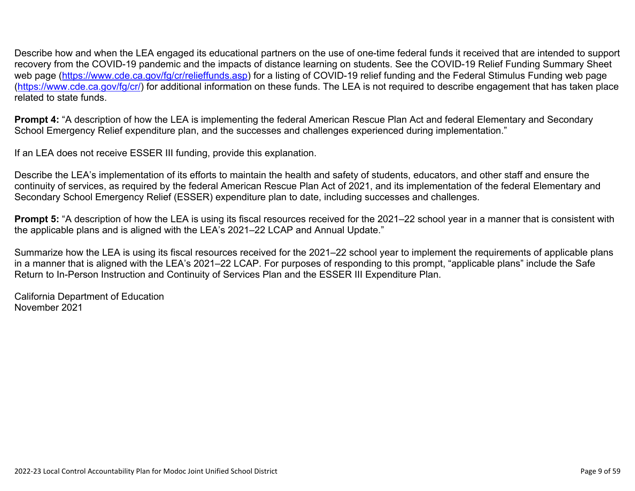Describe how and when the LEA engaged its educational partners on the use of one-time federal funds it received that are intended to support recovery from the COVID-19 pandemic and the impacts of distance learning on students. See the COVID-19 Relief Funding Summary Sheet web page [\(https://www.cde.ca.gov/fg/cr/relieffunds.asp\)](https://www.cde.ca.gov/fg/cr/relieffunds.asp) for a listing of COVID-19 relief funding and the Federal Stimulus Funding web page (<https://www.cde.ca.gov/fg/cr/>) for additional information on these funds. The LEA is not required to describe engagement that has taken place related to state funds.

**Prompt 4:** "A description of how the LEA is implementing the federal American Rescue Plan Act and federal Elementary and Secondary School Emergency Relief expenditure plan, and the successes and challenges experienced during implementation."

If an LEA does not receive ESSER III funding, provide this explanation.

Describe the LEA's implementation of its efforts to maintain the health and safety of students, educators, and other staff and ensure the continuity of services, as required by the federal American Rescue Plan Act of 2021, and its implementation of the federal Elementary and Secondary School Emergency Relief (ESSER) expenditure plan to date, including successes and challenges.

**Prompt 5:** "A description of how the LEA is using its fiscal resources received for the 2021–22 school year in a manner that is consistent with the applicable plans and is aligned with the LEA's 2021–22 LCAP and Annual Update."

Summarize how the LEA is using its fiscal resources received for the 2021–22 school year to implement the requirements of applicable plans in a manner that is aligned with the LEA's 2021–22 LCAP. For purposes of responding to this prompt, "applicable plans" include the Safe Return to In-Person Instruction and Continuity of Services Plan and the ESSER III Expenditure Plan.

California Department of Education November 2021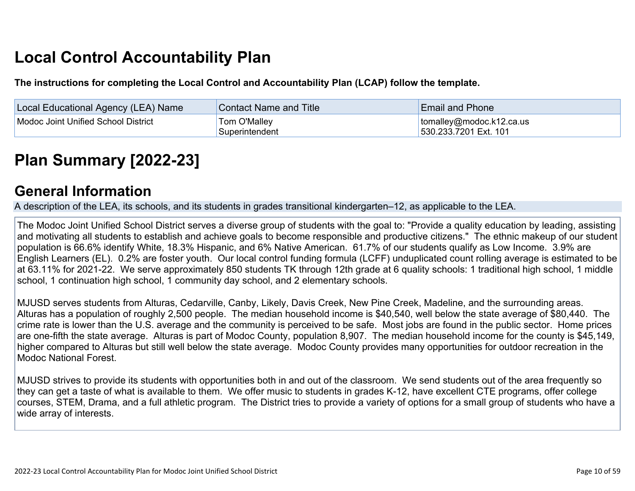# **Local Control Accountability Plan**

**The instructions for completing the Local Control and Accountability Plan (LCAP) follow the template.**

| <b>Local Educational Agency (LEA) Name</b> | <b>Contact Name and Title</b> | <b>Email and Phone</b>           |
|--------------------------------------------|-------------------------------|----------------------------------|
| Modoc Joint Unified School District        | Tom O'Malley                  | $\vert$ tomalley@modoc.k12.ca.us |
|                                            | Superintendent                | 530.233.7201 Ext. 101            |

# **[Plan Summary \[2022-23\]](http://www.doc-tracking.com/screenshots/22LCAP/Instructions/22LCAPInstructions.htm#PlanSummary)**

## **[General Information](http://www.doc-tracking.com/screenshots/22LCAP/Instructions/22LCAPInstructions.htm#generalinformation)**

A description of the LEA, its schools, and its students in grades transitional kindergarten–12, as applicable to the LEA.

The Modoc Joint Unified School District serves a diverse group of students with the goal to: "Provide a quality education by leading, assisting and motivating all students to establish and achieve goals to become responsible and productive citizens." The ethnic makeup of our student population is 66.6% identify White, 18.3% Hispanic, and 6% Native American. 61.7% of our students qualify as Low Income. 3.9% are English Learners (EL). 0.2% are foster youth. Our local control funding formula (LCFF) unduplicated count rolling average is estimated to be at 63.11% for 2021-22. We serve approximately 850 students TK through 12th grade at 6 quality schools: 1 traditional high school, 1 middle school, 1 continuation high school, 1 community day school, and 2 elementary schools.

MJUSD serves students from Alturas, Cedarville, Canby, Likely, Davis Creek, New Pine Creek, Madeline, and the surrounding areas. Alturas has a population of roughly 2,500 people. The median household income is \$40,540, well below the state average of \$80,440. The crime rate is lower than the U.S. average and the community is perceived to be safe. Most jobs are found in the public sector. Home prices are one-fifth the state average. Alturas is part of Modoc County, population 8,907. The median household income for the county is \$45,149, higher compared to Alturas but still well below the state average. Modoc County provides many opportunities for outdoor recreation in the Modoc National Forest.

MJUSD strives to provide its students with opportunities both in and out of the classroom. We send students out of the area frequently so they can get a taste of what is available to them. We offer music to students in grades K-12, have excellent CTE programs, offer college courses, STEM, Drama, and a full athletic program. The District tries to provide a variety of options for a small group of students who have a wide array of interests.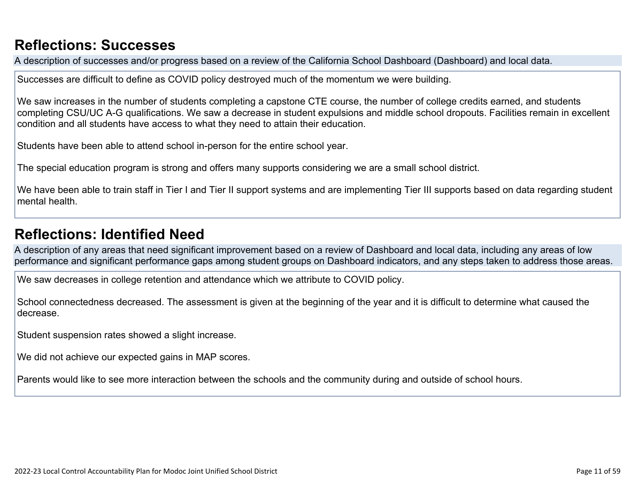## **[Reflections: Successes](http://www.doc-tracking.com/screenshots/22LCAP/Instructions/22LCAPInstructions.htm#ReflectionsSuccesses)**

A description of successes and/or progress based on a review of the California School Dashboard (Dashboard) and local data.

Successes are difficult to define as COVID policy destroyed much of the momentum we were building.

We saw increases in the number of students completing a capstone CTE course, the number of college credits earned, and students completing CSU/UC A-G qualifications. We saw a decrease in student expulsions and middle school dropouts. Facilities remain in excellent condition and all students have access to what they need to attain their education.

Students have been able to attend school in-person for the entire school year.

The special education program is strong and offers many supports considering we are a small school district.

We have been able to train staff in Tier I and Tier II support systems and are implementing Tier III supports based on data regarding student mental health.

## **[Reflections: Identified Need](http://www.doc-tracking.com/screenshots/22LCAP/Instructions/22LCAPInstructions.htm#ReflectionsIdentifiedNeed)**

A description of any areas that need significant improvement based on a review of Dashboard and local data, including any areas of low performance and significant performance gaps among student groups on Dashboard indicators, and any steps taken to address those areas.

We saw decreases in college retention and attendance which we attribute to COVID policy.

School connectedness decreased. The assessment is given at the beginning of the year and it is difficult to determine what caused the decrease.

Student suspension rates showed a slight increase.

We did not achieve our expected gains in MAP scores.

Parents would like to see more interaction between the schools and the community during and outside of school hours.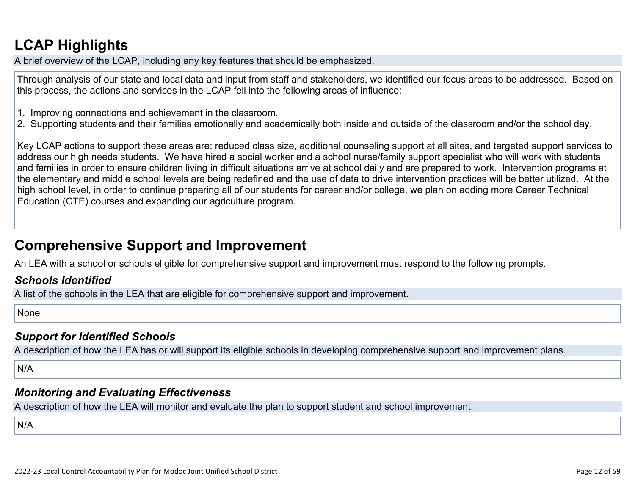# **[LCAP Highlights](http://www.doc-tracking.com/screenshots/22LCAP/Instructions/22LCAPInstructions.htm#LCAPHighlights)**

A brief overview of the LCAP, including any key features that should be emphasized.

Through analysis of our state and local data and input from staff and stakeholders, we identified our focus areas to be addressed. Based on this process, the actions and services in the LCAP fell into the following areas of influence:

- 1. Improving connections and achievement in the classroom.
- 2. Supporting students and their families emotionally and academically both inside and outside of the classroom and/or the school day.

Key LCAP actions to support these areas are: reduced class size, additional counseling support at all sites, and targeted support services to address our high needs students. We have hired a social worker and a school nurse/family support specialist who will work with students and families in order to ensure children living in difficult situations arrive at school daily and are prepared to work. Intervention programs at the elementary and middle school levels are being redefined and the use of data to drive intervention practices will be better utilized. At the high school level, in order to continue preparing all of our students for career and/or college, we plan on adding more Career Technical Education (CTE) courses and expanding our agriculture program.

## **Comprehensive Support and Improvement**

An LEA with a school or schools eligible for comprehensive support and improvement must respond to the following prompts.

### *[Schools Identified](http://www.doc-tracking.com/screenshots/22LCAP/Instructions/22LCAPInstructions.htm#SchoolsIdentified)*

A list of the schools in the LEA that are eligible for comprehensive support and improvement.

None

### *[Support for Identified Schools](http://www.doc-tracking.com/screenshots/22LCAP/Instructions/22LCAPInstructions.htm#SupportforIdentifiedSchools)*

A description of how the LEA has or will support its eligible schools in developing comprehensive support and improvement plans.

N/A

### *[Monitoring and Evaluating Effectiveness](http://www.doc-tracking.com/screenshots/22LCAP/Instructions/22LCAPInstructions.htm#MonitoringandEvaluatingEffectiveness)*

A description of how the LEA will monitor and evaluate the plan to support student and school improvement.

N/A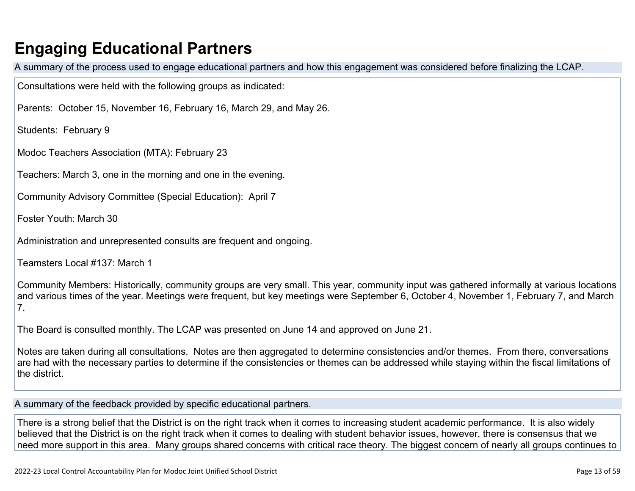# **Engaging Educational Partners**

A summary of the process used to engage educational partners and how this engagement was considered before finalizing the LCAP.

Consultations were held with the following groups as indicated:

Parents: October 15, November 16, February 16, March 29, and May 26.

Students: February 9

Modoc Teachers Association (MTA): February 23

Teachers: March 3, one in the morning and one in the evening.

Community Advisory Committee (Special Education): April 7

Foster Youth: March 30

Administration and unrepresented consults are frequent and ongoing.

Teamsters Local #137: March 1

Community Members: Historically, community groups are very small. This year, community input was gathered informally at various locations and various times of the year. Meetings were frequent, but key meetings were September 6, October 4, November 1, February 7, and March 7.

The Board is consulted monthly. The LCAP was presented on June 14 and approved on June 21.

Notes are taken during all consultations. Notes are then aggregated to determine consistencies and/or themes. From there, conversations are had with the necessary parties to determine if the consistencies or themes can be addressed while staying within the fiscal limitations of the district.

A summary of the feedback provided by specific educational partners.

There is a strong belief that the District is on the right track when it comes to increasing student academic performance. It is also widely believed that the District is on the right track when it comes to dealing with student behavior issues, however, there is consensus that we need more support in this area. Many groups shared concerns with critical race theory. The biggest concern of nearly all groups continues to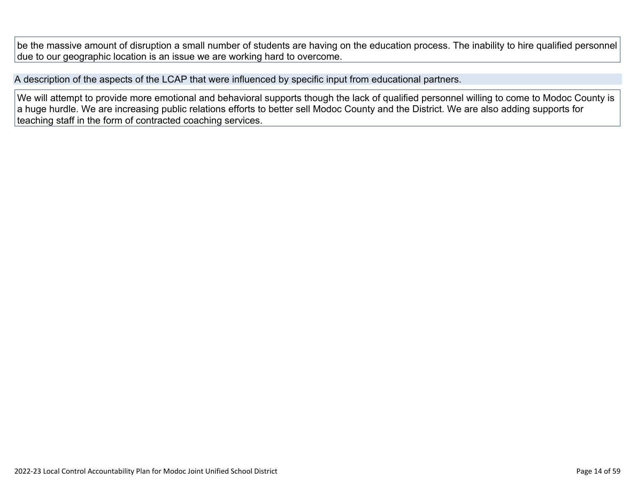be the massive amount of disruption a small number of students are having on the education process. The inability to hire qualified personnel due to our geographic location is an issue we are working hard to overcome.

A description of the aspects of the LCAP that were influenced by specific input from educational partners.

We will attempt to provide more emotional and behavioral supports though the lack of qualified personnel willing to come to Modoc County is a huge hurdle. We are increasing public relations efforts to better sell Modoc County and the District. We are also adding supports for teaching staff in the form of contracted coaching services.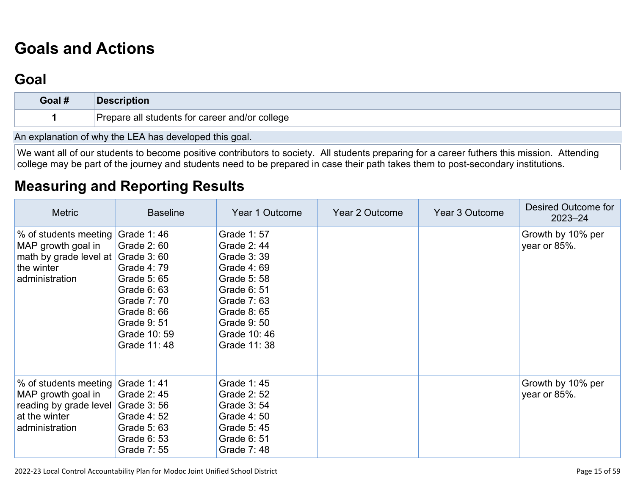# **[Goals and Actions](http://www.doc-tracking.com/screenshots/22LCAP/Instructions/22LCAPInstructions.htm#GoalsandActions)**

## **[Goal](http://www.doc-tracking.com/screenshots/22LCAP/Instructions/22LCAPInstructions.htm#goalDescription)**

| Goal # | <b>Description</b>                             |
|--------|------------------------------------------------|
|        | Prepare all students for career and/or college |
|        |                                                |

An explanation of why the LEA has developed this goal.

We want all of our students to become positive contributors to society. All students preparing for a career futhers this mission. Attending college may be part of the journey and students need to be prepared in case their path takes them to post-secondary institutions.

## **[Measuring and Reporting Results](http://www.doc-tracking.com/screenshots/22LCAP/Instructions/22LCAPInstructions.htm#MeasuringandReportingResults)**

| <b>Metric</b>                                                                                                                | <b>Baseline</b>                                                                                                                     | Year 1 Outcome                                                                                                                                               | Year 2 Outcome | Year 3 Outcome | Desired Outcome for<br>$2023 - 24$ |
|------------------------------------------------------------------------------------------------------------------------------|-------------------------------------------------------------------------------------------------------------------------------------|--------------------------------------------------------------------------------------------------------------------------------------------------------------|----------------|----------------|------------------------------------|
| % of students meeting Grade 1:46<br>MAP growth goal in<br>math by grade level at Grade 3: 60<br>the winter<br>administration | Grade 2: 60<br>Grade 4:79<br>Grade 5: 65<br>Grade 6: 63<br>Grade 7: 70<br>Grade 8:66<br>Grade 9: 51<br>Grade 10: 59<br>Grade 11: 48 | Grade 1:57<br>Grade 2:44<br>Grade 3:39<br>Grade 4:69<br>Grade 5:58<br>Grade 6: 51<br>Grade 7:63<br>Grade 8: 65<br>Grade 9: 50<br>Grade 10:46<br>Grade 11: 38 |                |                | Growth by 10% per<br>year or 85%.  |
| % of students meeting Grade 1: 41<br>MAP growth goal in<br>reading by grade level<br>at the winter<br>administration         | Grade 2:45<br>Grade 3:56<br>Grade 4: 52<br>Grade 5: 63<br>Grade 6: 53<br>Grade 7: 55                                                | Grade 1:45<br>Grade 2: 52<br>Grade 3:54<br>Grade 4:50<br>Grade 5:45<br>Grade 6: 51<br>Grade 7:48                                                             |                |                | Growth by 10% per<br>year or 85%.  |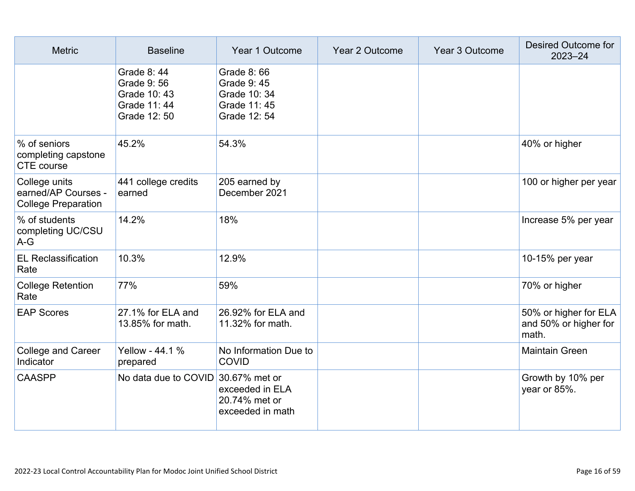| <b>Metric</b>                                                      | <b>Baseline</b>                                                                  | Year 1 Outcome                                                            | Year 2 Outcome | Year 3 Outcome | Desired Outcome for<br>2023-24                          |
|--------------------------------------------------------------------|----------------------------------------------------------------------------------|---------------------------------------------------------------------------|----------------|----------------|---------------------------------------------------------|
|                                                                    | <b>Grade 8:44</b><br>Grade 9: 56<br>Grade 10: 43<br>Grade 11: 44<br>Grade 12: 50 | Grade 8: 66<br>Grade 9:45<br>Grade 10: 34<br>Grade 11: 45<br>Grade 12: 54 |                |                |                                                         |
| % of seniors<br>completing capstone<br>CTE course                  | 45.2%                                                                            | 54.3%                                                                     |                |                | 40% or higher                                           |
| College units<br>earned/AP Courses -<br><b>College Preparation</b> | 441 college credits<br>earned                                                    | 205 earned by<br>December 2021                                            |                |                | 100 or higher per year                                  |
| % of students<br>completing UC/CSU<br>$A-G$                        | 14.2%                                                                            | 18%                                                                       |                |                | Increase 5% per year                                    |
| <b>EL Reclassification</b><br>Rate                                 | 10.3%                                                                            | 12.9%                                                                     |                |                | 10-15% per year                                         |
| <b>College Retention</b><br>Rate                                   | 77%                                                                              | 59%                                                                       |                |                | 70% or higher                                           |
| <b>EAP Scores</b>                                                  | 27.1% for ELA and<br>13.85% for math.                                            | 26.92% for ELA and<br>11.32% for math.                                    |                |                | 50% or higher for ELA<br>and 50% or higher for<br>math. |
| College and Career<br>Indicator                                    | Yellow - 44.1 %<br>prepared                                                      | No Information Due to<br><b>COVID</b>                                     |                |                | <b>Maintain Green</b>                                   |
| <b>CAASPP</b>                                                      | No data due to COVID 30.67% met or                                               | exceeded in ELA<br>20.74% met or<br>exceeded in math                      |                |                | Growth by 10% per<br>year or 85%.                       |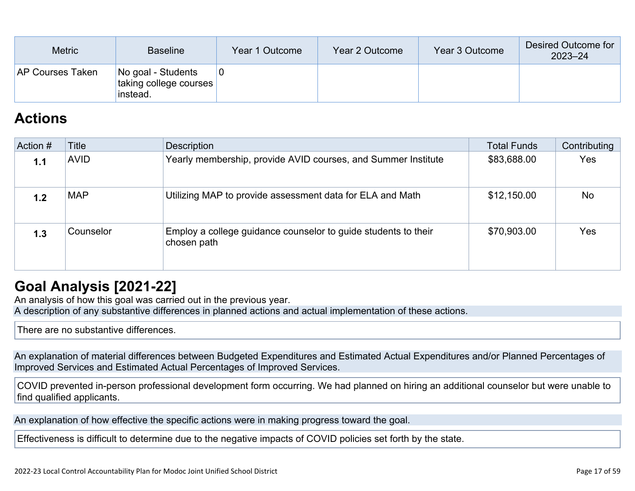| <b>Metric</b>           | <b>Baseline</b>                                          | Year 1 Outcome | Year 2 Outcome | Year 3 Outcome | Desired Outcome for<br>$2023 - 24$ |
|-------------------------|----------------------------------------------------------|----------------|----------------|----------------|------------------------------------|
| <b>AP Courses Taken</b> | No goal - Students<br>taking college courses<br>instead. |                |                |                |                                    |

## **[Actions](http://www.doc-tracking.com/screenshots/22LCAP/Instructions/22LCAPInstructions.htm#actions)**

| Action # | Title       | <b>Description</b>                                                            | <b>Total Funds</b> | Contributing |
|----------|-------------|-------------------------------------------------------------------------------|--------------------|--------------|
| 1.1      | <b>AVID</b> | Yearly membership, provide AVID courses, and Summer Institute                 | \$83,688.00        | <b>Yes</b>   |
| 1.2      | <b>MAP</b>  | Utilizing MAP to provide assessment data for ELA and Math                     | \$12,150.00        | <b>No</b>    |
| 1.3      | Counselor   | Employ a college guidance counselor to guide students to their<br>chosen path | \$70,903.00        | Yes          |

## **[Goal Analysis \[2021-22\]](http://www.doc-tracking.com/screenshots/22LCAP/Instructions/22LCAPInstructions.htm#GoalAnalysis)**

An analysis of how this goal was carried out in the previous year. A description of any substantive differences in planned actions and actual implementation of these actions.

There are no substantive differences.

An explanation of material differences between Budgeted Expenditures and Estimated Actual Expenditures and/or Planned Percentages of Improved Services and Estimated Actual Percentages of Improved Services.

COVID prevented in-person professional development form occurring. We had planned on hiring an additional counselor but were unable to find qualified applicants.

An explanation of how effective the specific actions were in making progress toward the goal.

Effectiveness is difficult to determine due to the negative impacts of COVID policies set forth by the state.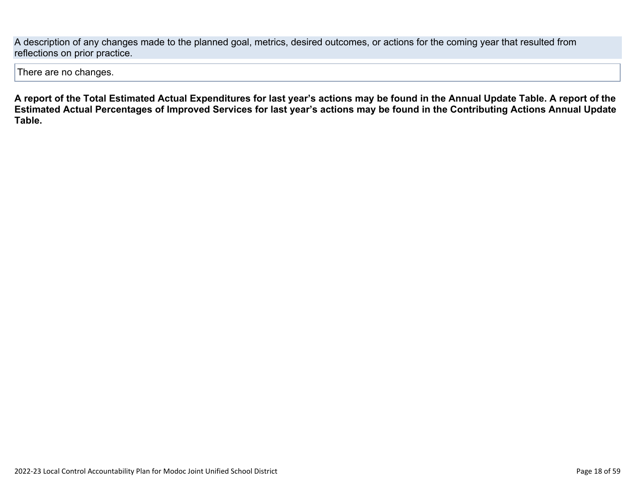A description of any changes made to the planned goal, metrics, desired outcomes, or actions for the coming year that resulted from reflections on prior practice.

There are no changes.

**A report of the Total Estimated Actual Expenditures for last year's actions may be found in the Annual Update Table. A report of the Estimated Actual Percentages of Improved Services for last year's actions may be found in the Contributing Actions Annual Update Table.**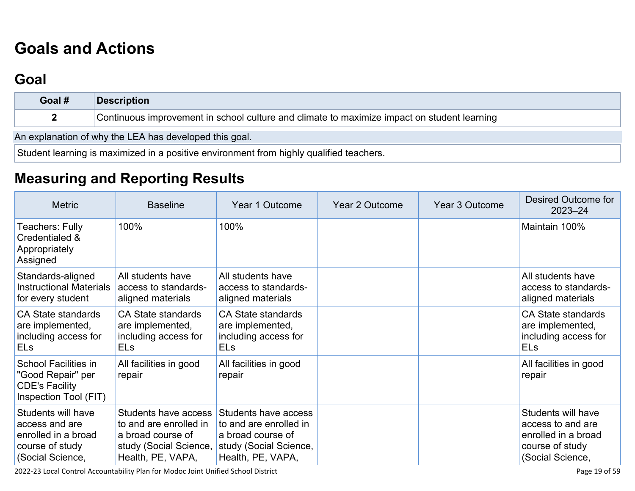# **[Goals and Actions](http://www.doc-tracking.com/screenshots/22LCAP/Instructions/22LCAPInstructions.htm#GoalsandActions)**

# **[Goal](http://www.doc-tracking.com/screenshots/22LCAP/Instructions/22LCAPInstructions.htm#goalDescription)**

| Goal #                                                 | <b>Description</b>                                                                          |  |  |  |  |
|--------------------------------------------------------|---------------------------------------------------------------------------------------------|--|--|--|--|
|                                                        | Continuous improvement in school culture and climate to maximize impact on student learning |  |  |  |  |
| An explanation of why the LEA has developed this goal. |                                                                                             |  |  |  |  |

Student learning is maximized in a positive environment from highly qualified teachers.

# **[Measuring and Reporting Results](http://www.doc-tracking.com/screenshots/22LCAP/Instructions/22LCAPInstructions.htm#MeasuringandReportingResults)**

| <b>Metric</b>                                                                                      | <b>Baseline</b>                                                                                                    | Year 1 Outcome                                                                                                     | Year 2 Outcome | <b>Year 3 Outcome</b> | Desired Outcome for<br>$2023 - 24$                                                                    |
|----------------------------------------------------------------------------------------------------|--------------------------------------------------------------------------------------------------------------------|--------------------------------------------------------------------------------------------------------------------|----------------|-----------------------|-------------------------------------------------------------------------------------------------------|
| <b>Teachers: Fully</b><br>Credentialed &<br>Appropriately<br>Assigned                              | 100%                                                                                                               | 100%                                                                                                               |                |                       | Maintain 100%                                                                                         |
| Standards-aligned<br><b>Instructional Materials</b><br>for every student                           | All students have<br>access to standards-<br>aligned materials                                                     | All students have<br>access to standards-<br>aligned materials                                                     |                |                       | All students have<br>access to standards-<br>aligned materials                                        |
| <b>CA State standards</b><br>are implemented,<br>including access for<br><b>ELs</b>                | <b>CA State standards</b><br>are implemented,<br>including access for<br><b>ELs</b>                                | <b>CA State standards</b><br>are implemented,<br>including access for<br><b>ELs</b>                                |                |                       | <b>CA State standards</b><br>are implemented,<br>including access for<br><b>ELs</b>                   |
| <b>School Facilities in</b><br>"Good Repair" per<br><b>CDE's Facility</b><br>Inspection Tool (FIT) | All facilities in good<br>repair                                                                                   | All facilities in good<br>repair                                                                                   |                |                       | All facilities in good<br>repair                                                                      |
| Students will have<br>access and are<br>enrolled in a broad<br>course of study<br>(Social Science, | Students have access<br>to and are enrolled in<br>a broad course of<br>study (Social Science,<br>Health, PE, VAPA, | Students have access<br>to and are enrolled in<br>a broad course of<br>study (Social Science,<br>Health, PE, VAPA, |                |                       | Students will have<br>access to and are<br>enrolled in a broad<br>course of study<br>(Social Science, |

2022-23 Local Control Accountability Plan for Modoc Joint Unified School District Page 19 of 59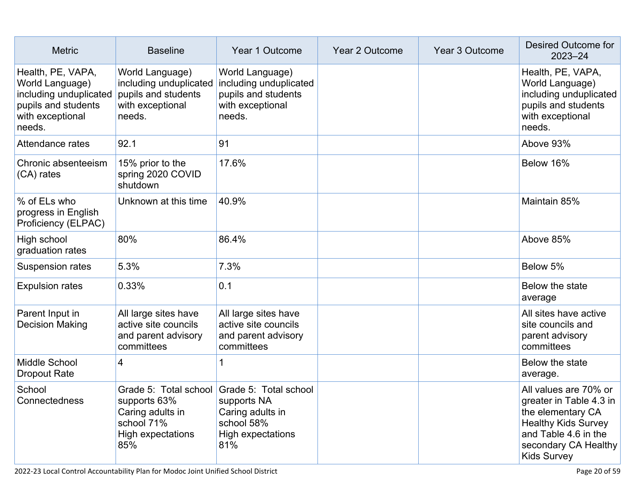| <b>Metric</b>                                                                                                       | <b>Baseline</b>                                                                                | Year 1 Outcome                                                                                                           | <b>Year 2 Outcome</b> | Year 3 Outcome | Desired Outcome for<br>$2023 - 24$                                                                                                                                        |
|---------------------------------------------------------------------------------------------------------------------|------------------------------------------------------------------------------------------------|--------------------------------------------------------------------------------------------------------------------------|-----------------------|----------------|---------------------------------------------------------------------------------------------------------------------------------------------------------------------------|
| Health, PE, VAPA,<br>World Language)<br>including unduplicated<br>pupils and students<br>with exceptional<br>needs. | World Language)<br>including unduplicated<br>pupils and students<br>with exceptional<br>needs. | World Language)<br>including unduplicated<br>pupils and students<br>with exceptional<br>needs.                           |                       |                | Health, PE, VAPA,<br>World Language)<br>including unduplicated<br>pupils and students<br>with exceptional<br>needs.                                                       |
| Attendance rates                                                                                                    | 92.1                                                                                           | 91                                                                                                                       |                       |                | Above 93%                                                                                                                                                                 |
| Chronic absenteeism<br>(CA) rates                                                                                   | 15% prior to the<br>spring 2020 COVID<br>shutdown                                              | 17.6%                                                                                                                    |                       |                | Below 16%                                                                                                                                                                 |
| % of ELs who<br>progress in English<br>Proficiency (ELPAC)                                                          | Unknown at this time                                                                           | 40.9%                                                                                                                    |                       |                | Maintain 85%                                                                                                                                                              |
| High school<br>graduation rates                                                                                     | 80%                                                                                            | 86.4%                                                                                                                    |                       |                | Above 85%                                                                                                                                                                 |
| Suspension rates                                                                                                    | 5.3%                                                                                           | 7.3%                                                                                                                     |                       |                | Below 5%                                                                                                                                                                  |
| <b>Expulsion rates</b>                                                                                              | 0.33%                                                                                          | 0.1                                                                                                                      |                       |                | Below the state<br>average                                                                                                                                                |
| Parent Input in<br><b>Decision Making</b>                                                                           | All large sites have<br>active site councils<br>and parent advisory<br>committees              | All large sites have<br>active site councils<br>and parent advisory<br>committees                                        |                       |                | All sites have active<br>site councils and<br>parent advisory<br>committees                                                                                               |
| Middle School<br><b>Dropout Rate</b>                                                                                | 4                                                                                              | 1                                                                                                                        |                       |                | Below the state<br>average.                                                                                                                                               |
| School<br>Connectedness                                                                                             | supports 63%<br>Caring adults in<br>school 71%<br>High expectations<br>85%                     | Grade 5: Total school Grade 5: Total school<br>supports NA<br>Caring adults in<br>school 58%<br>High expectations<br>81% |                       |                | All values are 70% or<br>greater in Table 4.3 in<br>the elementary CA<br><b>Healthy Kids Survey</b><br>and Table 4.6 in the<br>secondary CA Healthy<br><b>Kids Survey</b> |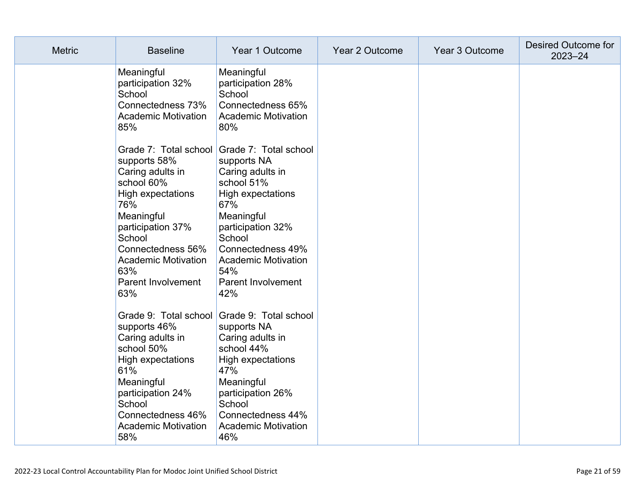| <b>Metric</b> | <b>Baseline</b>                                                                                                                                                                                                | Year 1 Outcome                                                                                                                                                                                                                                                      | Year 2 Outcome | Year 3 Outcome | Desired Outcome for<br>$2023 - 24$ |
|---------------|----------------------------------------------------------------------------------------------------------------------------------------------------------------------------------------------------------------|---------------------------------------------------------------------------------------------------------------------------------------------------------------------------------------------------------------------------------------------------------------------|----------------|----------------|------------------------------------|
|               | Meaningful<br>participation 32%<br>School<br>Connectedness 73%<br><b>Academic Motivation</b><br>85%                                                                                                            | Meaningful<br>participation 28%<br>School<br>Connectedness 65%<br><b>Academic Motivation</b><br>80%                                                                                                                                                                 |                |                |                                    |
|               | supports 58%<br>Caring adults in<br>school 60%<br>High expectations<br>76%<br>Meaningful<br>participation 37%<br>School<br>Connectedness 56%<br><b>Academic Motivation</b><br>63%<br>Parent Involvement<br>63% | Grade 7: Total school Grade 7: Total school<br>supports NA<br>Caring adults in<br>school 51%<br>High expectations<br>67%<br>Meaningful<br>participation 32%<br>School<br>Connectedness 49%<br><b>Academic Motivation</b><br>54%<br><b>Parent Involvement</b><br>42% |                |                |                                    |
|               | supports 46%<br>Caring adults in<br>school 50%<br>High expectations<br>61%<br>Meaningful<br>participation 24%<br>School<br>Connectedness 46%<br><b>Academic Motivation</b><br>58%                              | Grade 9: Total school Grade 9: Total school<br>supports NA<br>Caring adults in<br>school 44%<br>High expectations<br>47%<br>Meaningful<br>participation 26%<br>School<br>Connectedness 44%<br><b>Academic Motivation</b><br>46%                                     |                |                |                                    |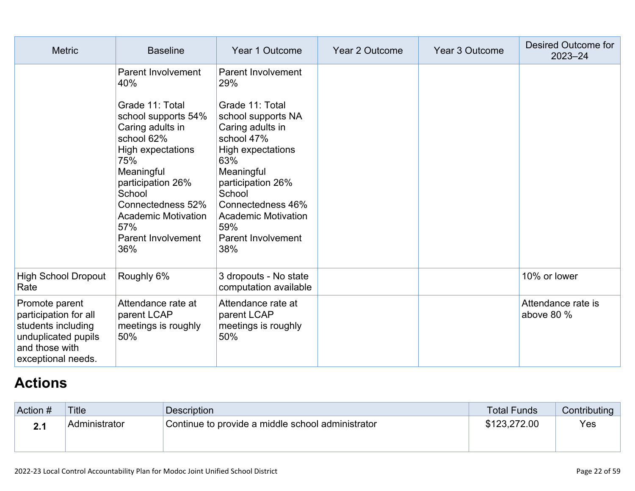| <b>Metric</b>                                                                                                                | <b>Baseline</b>                                                                                                                                                                                                                                 | Year 1 Outcome                                                                                                                                                                                                                          | Year 2 Outcome | Year 3 Outcome | Desired Outcome for<br>$2023 - 24$ |
|------------------------------------------------------------------------------------------------------------------------------|-------------------------------------------------------------------------------------------------------------------------------------------------------------------------------------------------------------------------------------------------|-----------------------------------------------------------------------------------------------------------------------------------------------------------------------------------------------------------------------------------------|----------------|----------------|------------------------------------|
|                                                                                                                              | <b>Parent Involvement</b><br>40%                                                                                                                                                                                                                | Parent Involvement<br>29%                                                                                                                                                                                                               |                |                |                                    |
|                                                                                                                              | Grade 11: Total<br>school supports 54%<br>Caring adults in<br>school 62%<br>High expectations<br>75%<br>Meaningful<br>participation 26%<br>School<br>Connectedness 52%<br><b>Academic Motivation</b><br>57%<br><b>Parent Involvement</b><br>36% | Grade 11: Total<br>school supports NA<br>Caring adults in<br>school 47%<br>High expectations<br>63%<br>Meaningful<br>participation 26%<br>School<br>Connectedness 46%<br><b>Academic Motivation</b><br>59%<br>Parent Involvement<br>38% |                |                |                                    |
| <b>High School Dropout</b><br>Rate                                                                                           | Roughly 6%                                                                                                                                                                                                                                      | 3 dropouts - No state<br>computation available                                                                                                                                                                                          |                |                | 10% or lower                       |
| Promote parent<br>participation for all<br>students including<br>unduplicated pupils<br>and those with<br>exceptional needs. | Attendance rate at<br>parent LCAP<br>meetings is roughly<br>50%                                                                                                                                                                                 | Attendance rate at<br>parent LCAP<br>meetings is roughly<br>50%                                                                                                                                                                         |                |                | Attendance rate is<br>above 80 %   |

# **[Actions](http://www.doc-tracking.com/screenshots/22LCAP/Instructions/22LCAPInstructions.htm#actions)**

| Action # | <b>Title</b>  | Description                                       | <b>Total Funds</b> | Contributing |
|----------|---------------|---------------------------------------------------|--------------------|--------------|
|          | Administrator | Continue to provide a middle school administrator | \$123,272.00       | Yes          |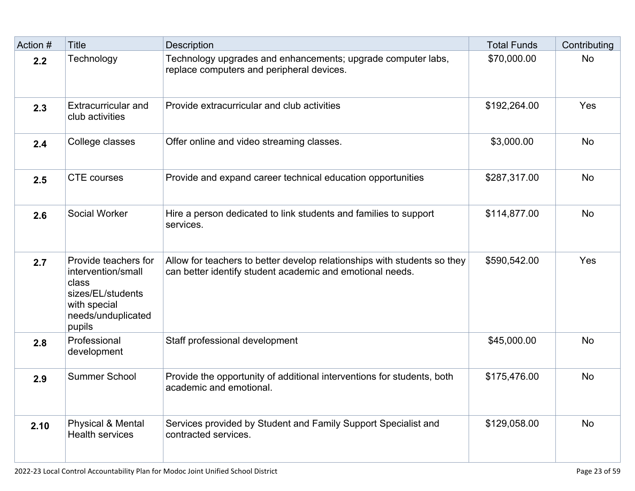| Action # | <b>Title</b>                                                                                                             | <b>Description</b>                                                                                                                    | <b>Total Funds</b> | Contributing |
|----------|--------------------------------------------------------------------------------------------------------------------------|---------------------------------------------------------------------------------------------------------------------------------------|--------------------|--------------|
| 2.2      | Technology                                                                                                               | Technology upgrades and enhancements; upgrade computer labs,<br>replace computers and peripheral devices.                             | \$70,000.00        | <b>No</b>    |
| 2.3      | Extracurricular and<br>club activities                                                                                   | Provide extracurricular and club activities                                                                                           | \$192,264.00       | Yes          |
| 2.4      | College classes                                                                                                          | Offer online and video streaming classes.                                                                                             | \$3,000.00         | <b>No</b>    |
| 2.5      | <b>CTE</b> courses                                                                                                       | Provide and expand career technical education opportunities                                                                           | \$287,317.00       | <b>No</b>    |
| 2.6      | <b>Social Worker</b>                                                                                                     | Hire a person dedicated to link students and families to support<br>services.                                                         | \$114,877.00       | <b>No</b>    |
| 2.7      | Provide teachers for<br>intervention/small<br>class<br>sizes/EL/students<br>with special<br>needs/unduplicated<br>pupils | Allow for teachers to better develop relationships with students so they<br>can better identify student academic and emotional needs. | \$590,542.00       | Yes          |
| 2.8      | Professional<br>development                                                                                              | Staff professional development                                                                                                        | \$45,000.00        | <b>No</b>    |
| 2.9      | <b>Summer School</b>                                                                                                     | Provide the opportunity of additional interventions for students, both<br>academic and emotional.                                     | \$175,476.00       | <b>No</b>    |
| 2.10     | <b>Physical &amp; Mental</b><br><b>Health services</b>                                                                   | Services provided by Student and Family Support Specialist and<br>contracted services.                                                | \$129,058.00       | <b>No</b>    |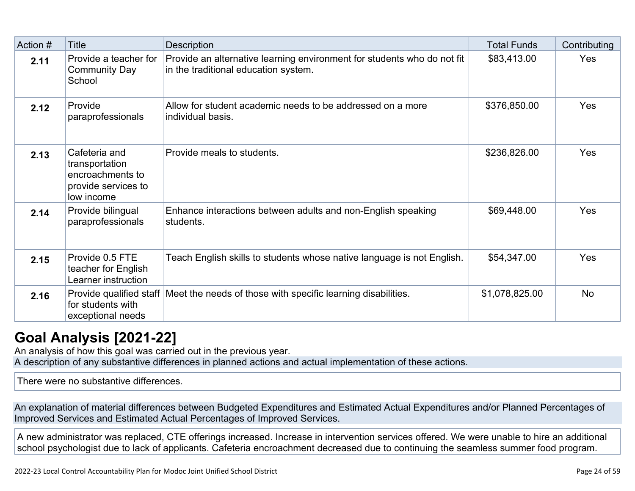| Action # | <b>Title</b>                                                                             | Description                                                                                                     | <b>Total Funds</b> | Contributing |
|----------|------------------------------------------------------------------------------------------|-----------------------------------------------------------------------------------------------------------------|--------------------|--------------|
| 2.11     | Provide a teacher for<br><b>Community Day</b><br>School                                  | Provide an alternative learning environment for students who do not fit<br>in the traditional education system. | \$83,413.00        | Yes          |
| 2.12     | Provide<br>paraprofessionals                                                             | Allow for student academic needs to be addressed on a more<br>individual basis.                                 | \$376,850.00       | Yes          |
| 2.13     | Cafeteria and<br>transportation<br>encroachments to<br>provide services to<br>low income | Provide meals to students.                                                                                      | \$236,826.00       | Yes          |
| 2.14     | Provide bilingual<br>paraprofessionals                                                   | Enhance interactions between adults and non-English speaking<br>students.                                       | \$69,448.00        | Yes          |
| 2.15     | Provide 0.5 FTE<br>teacher for English<br>Learner instruction                            | Teach English skills to students whose native language is not English.                                          | \$54,347.00        | <b>Yes</b>   |
| 2.16     | Provide qualified staff<br>for students with<br>exceptional needs                        | Meet the needs of those with specific learning disabilities.                                                    | \$1,078,825.00     | <b>No</b>    |

# **[Goal Analysis \[2021-22\]](http://www.doc-tracking.com/screenshots/22LCAP/Instructions/22LCAPInstructions.htm#GoalAnalysis)**

An analysis of how this goal was carried out in the previous year. A description of any substantive differences in planned actions and actual implementation of these actions.

There were no substantive differences.

An explanation of material differences between Budgeted Expenditures and Estimated Actual Expenditures and/or Planned Percentages of Improved Services and Estimated Actual Percentages of Improved Services.

A new administrator was replaced, CTE offerings increased. Increase in intervention services offered. We were unable to hire an additional school psychologist due to lack of applicants. Cafeteria encroachment decreased due to continuing the seamless summer food program.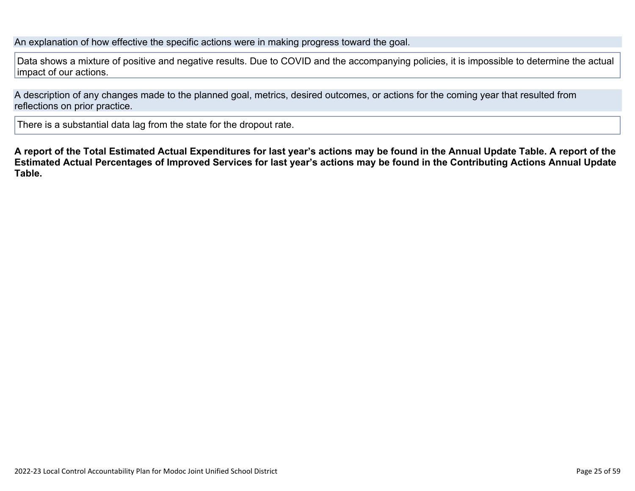An explanation of how effective the specific actions were in making progress toward the goal.

Data shows a mixture of positive and negative results. Due to COVID and the accompanying policies, it is impossible to determine the actual impact of our actions.

A description of any changes made to the planned goal, metrics, desired outcomes, or actions for the coming year that resulted from reflections on prior practice.

There is a substantial data lag from the state for the dropout rate.

**A report of the Total Estimated Actual Expenditures for last year's actions may be found in the Annual Update Table. A report of the Estimated Actual Percentages of Improved Services for last year's actions may be found in the Contributing Actions Annual Update Table.**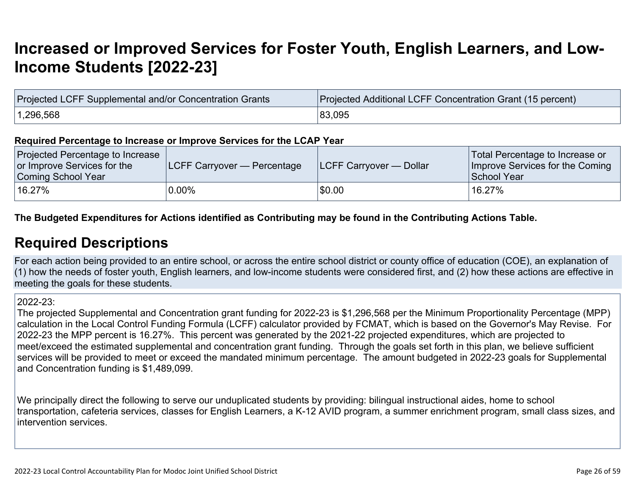# **[Increased or Improved Services for Foster Youth, English Learners, and Low-](http://www.doc-tracking.com/screenshots/22LCAP/Instructions/22LCAPInstructions.htm#IncreasedImprovedServices)[Income Students \[2022-23\]](http://www.doc-tracking.com/screenshots/22LCAP/Instructions/22LCAPInstructions.htm#IncreasedImprovedServices)**

| Projected LCFF Supplemental and/or Concentration Grants | Projected Additional LCFF Concentration Grant (15 percent) |
|---------------------------------------------------------|------------------------------------------------------------|
| 1,296,568                                               | 83,095                                                     |

#### **Required Percentage to Increase or Improve Services for the LCAP Year**

| Projected Percentage to Increase<br>or Improve Services for the<br>Coming School Year | <b>ILCFF Carryover — Percentage</b> | <b>ILCFF Carryover — Dollar</b> | Total Percentage to Increase or<br>Improve Services for the Coming<br>School Year |
|---------------------------------------------------------------------------------------|-------------------------------------|---------------------------------|-----------------------------------------------------------------------------------|
| $16.27\%$                                                                             | $0.00\%$                            | \$0.00                          | $^{\backprime}$ 16.27%                                                            |

### **The Budgeted Expenditures for Actions identified as Contributing may be found in the Contributing Actions Table.**

## **[Required Descriptions](http://www.doc-tracking.com/screenshots/22LCAP/Instructions/22LCAPInstructions.htm#RequiredDescriptions)**

For each action being provided to an entire school, or across the entire school district or county office of education (COE), an explanation of (1) how the needs of foster youth, English learners, and low-income students were considered first, and (2) how these actions are effective in meeting the goals for these students.

#### 2022-23:

The projected Supplemental and Concentration grant funding for 2022-23 is \$1,296,568 per the Minimum Proportionality Percentage (MPP) calculation in the Local Control Funding Formula (LCFF) calculator provided by FCMAT, which is based on the Governor's May Revise. For 2022-23 the MPP percent is 16.27%. This percent was generated by the 2021-22 projected expenditures, which are projected to meet/exceed the estimated supplemental and concentration grant funding. Through the goals set forth in this plan, we believe sufficient services will be provided to meet or exceed the mandated minimum percentage. The amount budgeted in 2022-23 goals for Supplemental and Concentration funding is \$1,489,099.

We principally direct the following to serve our unduplicated students by providing: bilingual instructional aides, home to school transportation, cafeteria services, classes for English Learners, a K-12 AVID program, a summer enrichment program, small class sizes, and intervention services.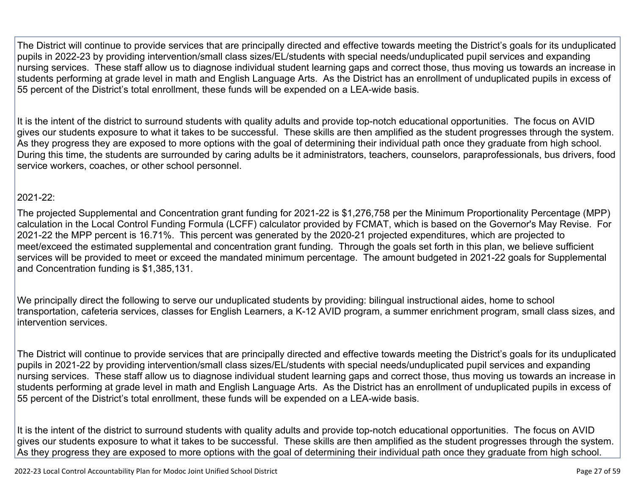The District will continue to provide services that are principally directed and effective towards meeting the District's goals for its unduplicated pupils in 2022-23 by providing intervention/small class sizes/EL/students with special needs/unduplicated pupil services and expanding nursing services. These staff allow us to diagnose individual student learning gaps and correct those, thus moving us towards an increase in students performing at grade level in math and English Language Arts. As the District has an enrollment of unduplicated pupils in excess of 55 percent of the District's total enrollment, these funds will be expended on a LEA-wide basis.

It is the intent of the district to surround students with quality adults and provide top-notch educational opportunities. The focus on AVID gives our students exposure to what it takes to be successful. These skills are then amplified as the student progresses through the system. As they progress they are exposed to more options with the goal of determining their individual path once they graduate from high school. During this time, the students are surrounded by caring adults be it administrators, teachers, counselors, paraprofessionals, bus drivers, food service workers, coaches, or other school personnel.

### 2021-22:

The projected Supplemental and Concentration grant funding for 2021-22 is \$1,276,758 per the Minimum Proportionality Percentage (MPP) calculation in the Local Control Funding Formula (LCFF) calculator provided by FCMAT, which is based on the Governor's May Revise. For 2021-22 the MPP percent is 16.71%. This percent was generated by the 2020-21 projected expenditures, which are projected to meet/exceed the estimated supplemental and concentration grant funding. Through the goals set forth in this plan, we believe sufficient services will be provided to meet or exceed the mandated minimum percentage. The amount budgeted in 2021-22 goals for Supplemental and Concentration funding is \$1,385,131.

We principally direct the following to serve our unduplicated students by providing: bilingual instructional aides, home to school transportation, cafeteria services, classes for English Learners, a K-12 AVID program, a summer enrichment program, small class sizes, and intervention services.

The District will continue to provide services that are principally directed and effective towards meeting the District's goals for its unduplicated pupils in 2021-22 by providing intervention/small class sizes/EL/students with special needs/unduplicated pupil services and expanding nursing services. These staff allow us to diagnose individual student learning gaps and correct those, thus moving us towards an increase in students performing at grade level in math and English Language Arts. As the District has an enrollment of unduplicated pupils in excess of 55 percent of the District's total enrollment, these funds will be expended on a LEA-wide basis.

It is the intent of the district to surround students with quality adults and provide top-notch educational opportunities. The focus on AVID gives our students exposure to what it takes to be successful. These skills are then amplified as the student progresses through the system. As they progress they are exposed to more options with the goal of determining their individual path once they graduate from high school.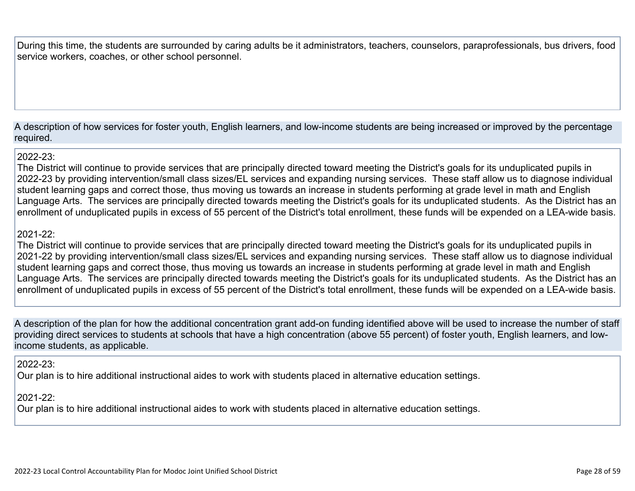During this time, the students are surrounded by caring adults be it administrators, teachers, counselors, paraprofessionals, bus drivers, food service workers, coaches, or other school personnel.

A description of how services for foster youth, English learners, and low-income students are being increased or improved by the percentage required.

#### $2022-23$

The District will continue to provide services that are principally directed toward meeting the District's goals for its unduplicated pupils in 2022-23 by providing intervention/small class sizes/EL services and expanding nursing services. These staff allow us to diagnose individual student learning gaps and correct those, thus moving us towards an increase in students performing at grade level in math and English Language Arts. The services are principally directed towards meeting the District's goals for its unduplicated students. As the District has an enrollment of unduplicated pupils in excess of 55 percent of the District's total enrollment, these funds will be expended on a LEA-wide basis.

### 2021-22:

The District will continue to provide services that are principally directed toward meeting the District's goals for its unduplicated pupils in 2021-22 by providing intervention/small class sizes/EL services and expanding nursing services. These staff allow us to diagnose individual student learning gaps and correct those, thus moving us towards an increase in students performing at grade level in math and English Language Arts. The services are principally directed towards meeting the District's goals for its unduplicated students. As the District has an enrollment of unduplicated pupils in excess of 55 percent of the District's total enrollment, these funds will be expended on a LEA-wide basis.

A description of the plan for how the additional concentration grant add-on funding identified above will be used to increase the number of staff providing direct services to students at schools that have a high concentration (above 55 percent) of foster youth, English learners, and lowincome students, as applicable.

### 2022-23:

Our plan is to hire additional instructional aides to work with students placed in alternative education settings.

### 2021-22:

Our plan is to hire additional instructional aides to work with students placed in alternative education settings.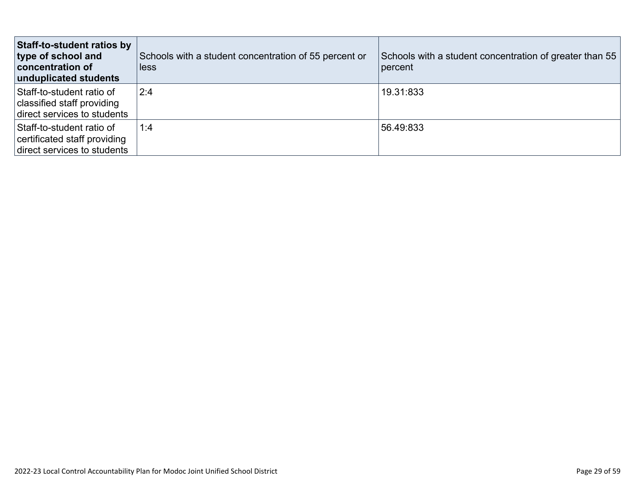| Staff-to-student ratios by<br>type of school and<br><b>concentration of</b><br>unduplicated students | Schools with a student concentration of 55 percent or<br>less | Schools with a student concentration of greater than 55<br>percent |
|------------------------------------------------------------------------------------------------------|---------------------------------------------------------------|--------------------------------------------------------------------|
| Staff-to-student ratio of<br>classified staff providing<br>direct services to students               | 2:4                                                           | 19.31:833                                                          |
| Staff-to-student ratio of<br>certificated staff providing<br>direct services to students             | 1:4                                                           | 56.49.833                                                          |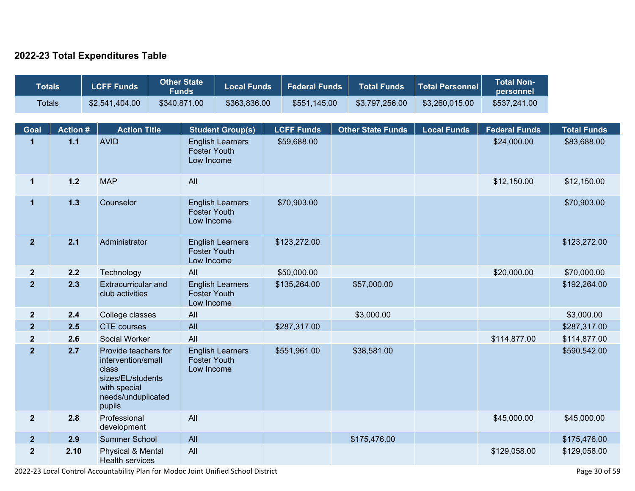### **2022-23 Total Expenditures Table**

| <b>Totals</b>           |                 | <b>LCFF Funds</b>                                                                                                        | <b>Other State</b><br><b>Funds</b> | <b>Local Funds</b>      | <b>Federal Funds</b> | <b>Total Funds</b>       | <b>Total Personnel</b> | <b>Total Non-</b><br>personnel |                    |
|-------------------------|-----------------|--------------------------------------------------------------------------------------------------------------------------|------------------------------------|-------------------------|----------------------|--------------------------|------------------------|--------------------------------|--------------------|
| <b>Totals</b>           |                 | \$2,541,404.00                                                                                                           | \$340,871.00                       | \$363,836.00            | \$551,145.00         | \$3,797,256.00           | \$3,260,015.00         | \$537,241.00                   |                    |
|                         |                 |                                                                                                                          |                                    |                         |                      |                          |                        |                                |                    |
| Goal                    | <b>Action #</b> | <b>Action Title</b>                                                                                                      |                                    | <b>Student Group(s)</b> | <b>LCFF Funds</b>    | <b>Other State Funds</b> | <b>Local Funds</b>     | <b>Federal Funds</b>           | <b>Total Funds</b> |
| $\mathbf{1}$            | $1.1$           | <b>AVID</b>                                                                                                              | <b>Foster Youth</b><br>Low Income  | <b>English Learners</b> | \$59,688.00          |                          |                        | \$24,000.00                    | \$83,688.00        |
| $\mathbf{1}$            | $1.2$           | <b>MAP</b>                                                                                                               | All                                |                         |                      |                          |                        | \$12,150.00                    | \$12,150.00        |
| $\mathbf{1}$            | $1.3$           | Counselor                                                                                                                | <b>Foster Youth</b><br>Low Income  | <b>English Learners</b> | \$70,903.00          |                          |                        |                                | \$70,903.00        |
| $\overline{2}$          | 2.1             | Administrator                                                                                                            | <b>Foster Youth</b><br>Low Income  | <b>English Learners</b> | \$123,272.00         |                          |                        |                                | \$123,272.00       |
| $\mathbf{2}$            | 2.2             | Technology                                                                                                               | All                                |                         | \$50,000.00          |                          |                        | \$20,000.00                    | \$70,000.00        |
| $\overline{\mathbf{2}}$ | 2.3             | Extracurricular and<br>club activities                                                                                   | <b>Foster Youth</b><br>Low Income  | <b>English Learners</b> | \$135,264.00         | \$57,000.00              |                        |                                | \$192,264.00       |
| $\mathbf{2}$            | 2.4             | College classes                                                                                                          | All                                |                         |                      | \$3,000.00               |                        |                                | \$3,000.00         |
| 2 <sup>2</sup>          | 2.5             | <b>CTE</b> courses                                                                                                       | All                                |                         | \$287,317.00         |                          |                        |                                | \$287,317.00       |
| $\mathbf{2}$            | 2.6             | Social Worker                                                                                                            | All                                |                         |                      |                          |                        | \$114,877.00                   | \$114,877.00       |
| $\overline{2}$          | 2.7             | Provide teachers for<br>intervention/small<br>class<br>sizes/EL/students<br>with special<br>needs/unduplicated<br>pupils | <b>Foster Youth</b><br>Low Income  | <b>English Learners</b> | \$551,961.00         | \$38,581.00              |                        |                                | \$590,542.00       |
| $\mathbf{2}$            | 2.8             | Professional<br>development                                                                                              | All                                |                         |                      |                          |                        | \$45,000.00                    | \$45,000.00        |
| $\overline{2}$          | 2.9             | Summer School                                                                                                            | All                                |                         |                      | \$175,476.00             |                        |                                | \$175,476.00       |
| $\mathbf{2}$            | 2.10            | Physical & Mental<br><b>Health services</b>                                                                              | All                                |                         |                      |                          |                        | \$129,058.00                   | \$129,058.00       |

2022-23 Local Control Accountability Plan for Modoc Joint Unified School District Page 30 of 59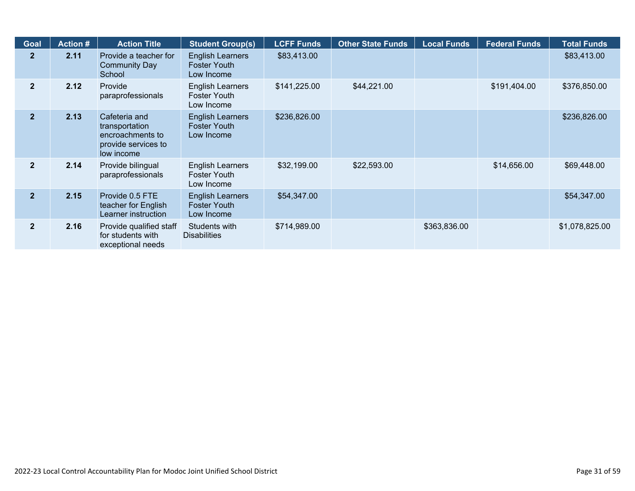| <b>Goal</b>    | <b>Action #</b> | <b>Action Title</b>                                                                      | <b>Student Group(s)</b>                                      | <b>LCFF Funds</b> | <b>Other State Funds</b> | <b>Local Funds</b> | <b>Federal Funds</b> | <b>Total Funds</b> |
|----------------|-----------------|------------------------------------------------------------------------------------------|--------------------------------------------------------------|-------------------|--------------------------|--------------------|----------------------|--------------------|
| 2 <sup>1</sup> | 2.11            | Provide a teacher for<br><b>Community Day</b><br>School                                  | <b>English Learners</b><br><b>Foster Youth</b><br>Low Income | \$83,413.00       |                          |                    |                      | \$83,413.00        |
| 2 <sup>1</sup> | 2.12            | Provide<br>paraprofessionals                                                             | <b>English Learners</b><br>Foster Youth<br>Low Income        | \$141,225.00      | \$44,221.00              |                    | \$191,404.00         | \$376,850.00       |
| 2 <sup>2</sup> | 2.13            | Cafeteria and<br>transportation<br>encroachments to<br>provide services to<br>low income | <b>English Learners</b><br><b>Foster Youth</b><br>Low Income | \$236,826.00      |                          |                    |                      | \$236,826.00       |
| $\overline{2}$ | 2.14            | Provide bilingual<br>paraprofessionals                                                   | <b>English Learners</b><br><b>Foster Youth</b><br>Low Income | \$32,199.00       | \$22,593.00              |                    | \$14,656.00          | \$69,448.00        |
| $\overline{2}$ | 2.15            | Provide 0.5 FTE<br>teacher for English<br>Learner instruction                            | <b>English Learners</b><br><b>Foster Youth</b><br>Low Income | \$54,347.00       |                          |                    |                      | \$54,347.00        |
| $\overline{2}$ | 2.16            | Provide qualified staff<br>for students with<br>exceptional needs                        | Students with<br><b>Disabilities</b>                         | \$714,989.00      |                          | \$363,836.00       |                      | \$1,078,825.00     |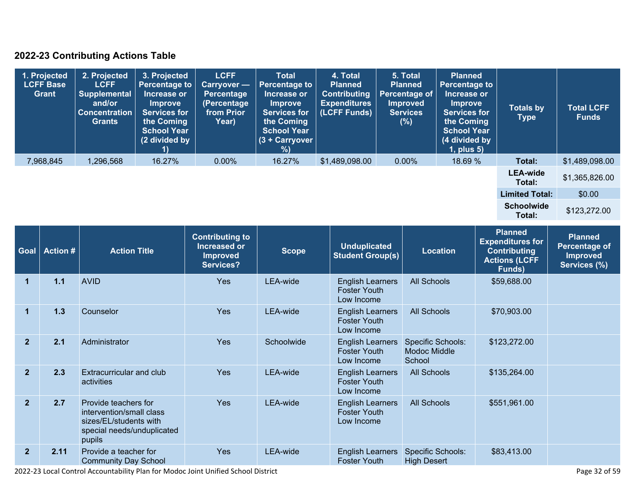## **2022-23 Contributing Actions Table**

| 1. Projected<br>LCFF Base<br><b>Grant</b> | 2. Projected<br><b>LCFF</b><br><b>Supplemental</b><br>and/or<br><b>Concentration</b><br><b>Grants</b> | 3. Projected<br><b>Percentage to</b><br>Increase or<br><b>Improve</b><br><b>Services for</b><br>the Coming<br><b>School Year</b><br>(2 divided by | <b>LCFF</b><br>Carryover -<br>Percentage<br>(Percentage<br>from Prior<br>Year) | <b>Total</b><br><b>Percentage to</b><br>Increase or<br><b>Improve</b><br><b>Services for</b><br>the Coming<br><b>School Year</b><br>$(3 + Carryover)$<br>%) | 4. Total<br><b>Planned</b><br><b>Contributing</b><br><b>Expenditures</b><br>(LCFF Funds) | 5. Total<br><b>Planned</b><br>Percentage of<br><b>Improved</b><br><b>Services</b><br>(%) | <b>Planned</b><br><b>Percentage to</b><br>Increase or<br><b>Improve</b><br><b>Services for</b><br>the Coming<br><b>School Year</b><br>(4 divided by<br>$1$ , plus $5$ ) | <b>Totals by</b><br><b>Type</b> | <b>Total LCFF</b><br><b>Funds</b> |
|-------------------------------------------|-------------------------------------------------------------------------------------------------------|---------------------------------------------------------------------------------------------------------------------------------------------------|--------------------------------------------------------------------------------|-------------------------------------------------------------------------------------------------------------------------------------------------------------|------------------------------------------------------------------------------------------|------------------------------------------------------------------------------------------|-------------------------------------------------------------------------------------------------------------------------------------------------------------------------|---------------------------------|-----------------------------------|
| 7,968,845                                 | 1,296,568                                                                                             | 16.27%                                                                                                                                            | $0.00\%$                                                                       | 16.27%                                                                                                                                                      | \$1,489,098.00                                                                           | $0.00\%$                                                                                 | 18.69 %                                                                                                                                                                 | Total:                          | \$1,489,098.00                    |
|                                           |                                                                                                       |                                                                                                                                                   |                                                                                |                                                                                                                                                             |                                                                                          |                                                                                          |                                                                                                                                                                         | <b>LEA-wide</b><br>Total:       | \$1,365,826.00                    |
|                                           |                                                                                                       |                                                                                                                                                   |                                                                                |                                                                                                                                                             |                                                                                          |                                                                                          |                                                                                                                                                                         | <b>Limited Total:</b>           | \$0.00                            |
|                                           |                                                                                                       |                                                                                                                                                   |                                                                                |                                                                                                                                                             |                                                                                          |                                                                                          |                                                                                                                                                                         | <b>Schoolwide</b><br>Total:     | \$123,272.00                      |

| Goal           | <b>Action#</b> | <b>Action Title</b>                                                                                                | <b>Contributing to</b><br><b>Increased or</b><br><b>Improved</b><br><b>Services?</b> | <b>Scope</b> | <b>Unduplicated</b><br><b>Student Group(s)</b>               | <b>Location</b>                                           | <b>Planned</b><br><b>Expenditures for</b><br><b>Contributing</b><br><b>Actions (LCFF</b><br>Funds) | <b>Planned</b><br><b>Percentage of</b><br><b>Improved</b><br>Services (%) |
|----------------|----------------|--------------------------------------------------------------------------------------------------------------------|--------------------------------------------------------------------------------------|--------------|--------------------------------------------------------------|-----------------------------------------------------------|----------------------------------------------------------------------------------------------------|---------------------------------------------------------------------------|
| 1              | $1.1$          | <b>AVID</b>                                                                                                        | Yes                                                                                  | LEA-wide     | <b>English Learners</b><br><b>Foster Youth</b><br>Low Income | <b>All Schools</b>                                        | \$59,688.00                                                                                        |                                                                           |
| 1              | 1.3            | Counselor                                                                                                          | Yes                                                                                  | LEA-wide     | <b>English Learners</b><br><b>Foster Youth</b><br>Low Income | <b>All Schools</b>                                        | \$70,903.00                                                                                        |                                                                           |
| $\overline{2}$ | 2.1            | Administrator                                                                                                      | <b>Yes</b>                                                                           | Schoolwide   | <b>English Learners</b><br><b>Foster Youth</b><br>Low Income | <b>Specific Schools:</b><br><b>Modoc Middle</b><br>School | \$123,272.00                                                                                       |                                                                           |
| $\overline{2}$ | 2.3            | Extracurricular and club<br>activities                                                                             | <b>Yes</b>                                                                           | LEA-wide     | <b>English Learners</b><br><b>Foster Youth</b><br>Low Income | <b>All Schools</b>                                        | \$135,264.00                                                                                       |                                                                           |
| $\overline{2}$ | 2.7            | Provide teachers for<br>intervention/small class<br>sizes/EL/students with<br>special needs/unduplicated<br>pupils | <b>Yes</b>                                                                           | LEA-wide     | <b>English Learners</b><br><b>Foster Youth</b><br>Low Income | <b>All Schools</b>                                        | \$551,961.00                                                                                       |                                                                           |
| $\mathbf{2}$   | 2.11           | Provide a teacher for<br><b>Community Day School</b>                                                               | <b>Yes</b>                                                                           | LEA-wide     | <b>English Learners</b><br><b>Foster Youth</b>               | <b>Specific Schools:</b><br><b>High Desert</b>            | \$83,413.00                                                                                        |                                                                           |

2022-23 Local Control Accountability Plan for Modoc Joint Unified School District Page 32 of 59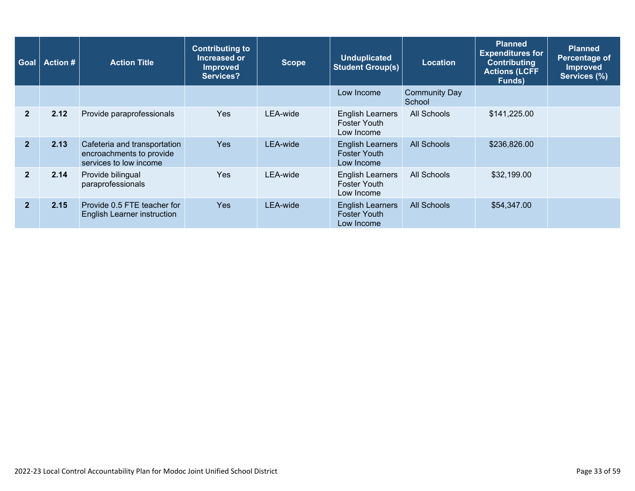| Goal           | <b>Action #</b> | <b>Action Title</b>                                                                | <b>Contributing to</b><br>Increased or<br><b>Improved</b><br><b>Services?</b> | <b>Scope</b> | <b>Unduplicated</b><br><b>Student Group(s)</b>               | <b>Location</b>                | <b>Planned</b><br><b>Expenditures for</b><br><b>Contributing</b><br><b>Actions (LCFF</b><br>Funds) | <b>Planned</b><br>Percentage of<br><b>Improved</b><br>Services (%) |
|----------------|-----------------|------------------------------------------------------------------------------------|-------------------------------------------------------------------------------|--------------|--------------------------------------------------------------|--------------------------------|----------------------------------------------------------------------------------------------------|--------------------------------------------------------------------|
|                |                 |                                                                                    |                                                                               |              | Low Income                                                   | <b>Community Day</b><br>School |                                                                                                    |                                                                    |
| $\overline{2}$ | 2.12            | Provide paraprofessionals                                                          | <b>Yes</b>                                                                    | LEA-wide     | <b>English Learners</b><br><b>Foster Youth</b><br>Low Income | All Schools                    | \$141,225.00                                                                                       |                                                                    |
| $\overline{2}$ | 2.13            | Cafeteria and transportation<br>encroachments to provide<br>services to low income | <b>Yes</b>                                                                    | LEA-wide     | <b>English Learners</b><br><b>Foster Youth</b><br>Low Income | All Schools                    | \$236,826.00                                                                                       |                                                                    |
| $\overline{2}$ | 2.14            | Provide bilingual<br>paraprofessionals                                             | Yes                                                                           | LEA-wide     | <b>English Learners</b><br><b>Foster Youth</b><br>Low Income | All Schools                    | \$32,199.00                                                                                        |                                                                    |
| $\overline{2}$ | 2.15            | Provide 0.5 FTE teacher for<br><b>English Learner instruction</b>                  | <b>Yes</b>                                                                    | LEA-wide     | <b>English Learners</b><br><b>Foster Youth</b><br>Low Income | All Schools                    | \$54,347.00                                                                                        |                                                                    |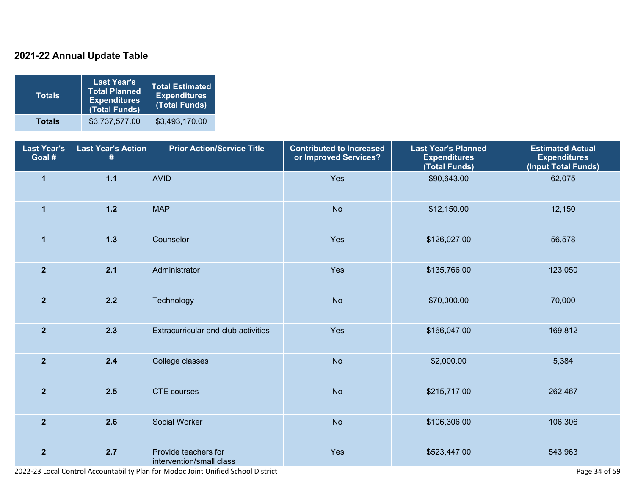## **2021-22 Annual Update Table**

| <b>Totals</b> | <b>Last Year's</b><br><b>Total Planned</b><br><b>Expenditures</b><br>(Total Funds) | <b>Total Estimated</b><br><b>Expenditures</b><br>(Total Funds) |
|---------------|------------------------------------------------------------------------------------|----------------------------------------------------------------|
| <b>Totals</b> | \$3,737,577.00                                                                     | \$3,493,170.00                                                 |

| <b>Last Year's</b><br>Goal # | <b>Last Year's Action</b><br># | <b>Prior Action/Service Title</b>                | <b>Contributed to Increased</b><br>or Improved Services? | <b>Last Year's Planned</b><br><b>Expenditures</b><br>(Total Funds) | <b>Estimated Actual</b><br><b>Expenditures</b><br>(Input Total Funds) |
|------------------------------|--------------------------------|--------------------------------------------------|----------------------------------------------------------|--------------------------------------------------------------------|-----------------------------------------------------------------------|
| $\mathbf{1}$                 | $1.1$                          | <b>AVID</b>                                      | Yes                                                      | \$90,643.00                                                        | 62,075                                                                |
| $\mathbf{1}$                 | $1.2$                          | <b>MAP</b>                                       | <b>No</b>                                                | \$12,150.00                                                        | 12,150                                                                |
| $\mathbf{1}$                 | $1.3$                          | Counselor                                        | Yes                                                      | \$126,027.00                                                       | 56,578                                                                |
| $\mathbf{2}$                 | 2.1                            | Administrator                                    | Yes                                                      | \$135,766.00                                                       | 123,050                                                               |
| $\overline{2}$               | 2.2                            | Technology                                       | <b>No</b>                                                | \$70,000.00                                                        | 70,000                                                                |
| $\mathbf{2}$                 | 2.3                            | Extracurricular and club activities              | Yes                                                      | \$166,047.00                                                       | 169,812                                                               |
| $\overline{2}$               | 2.4                            | College classes                                  | <b>No</b>                                                | \$2,000.00                                                         | 5,384                                                                 |
| $\overline{2}$               | 2.5                            | <b>CTE</b> courses                               | <b>No</b>                                                | \$215,717.00                                                       | 262,467                                                               |
| $\overline{2}$               | 2.6                            | Social Worker                                    | <b>No</b>                                                | \$106,306.00                                                       | 106,306                                                               |
| $\mathbf{2}$                 | 2.7                            | Provide teachers for<br>intervention/small class | Yes                                                      | \$523,447.00                                                       | 543,963                                                               |

2022-23 Local Control Accountability Plan for Modoc Joint Unified School District Page 34 of 59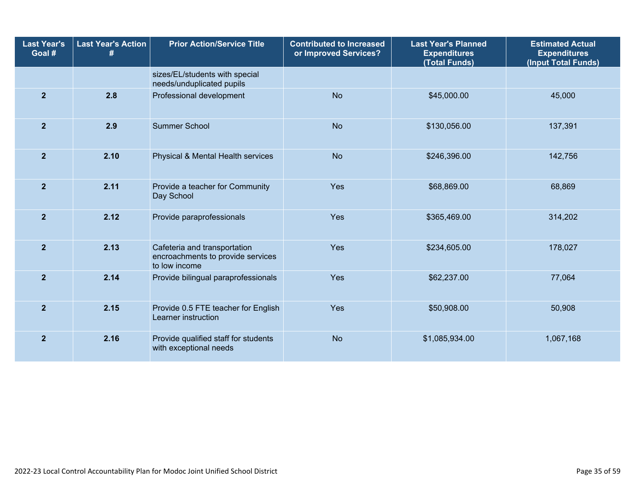| <b>Last Year's</b><br>Goal # | <b>Last Year's Action</b><br># | <b>Prior Action/Service Title</b>                                                  | <b>Contributed to Increased</b><br>or Improved Services? | <b>Last Year's Planned</b><br><b>Expenditures</b><br>(Total Funds) | <b>Estimated Actual</b><br><b>Expenditures</b><br>(Input Total Funds) |  |
|------------------------------|--------------------------------|------------------------------------------------------------------------------------|----------------------------------------------------------|--------------------------------------------------------------------|-----------------------------------------------------------------------|--|
|                              |                                | sizes/EL/students with special<br>needs/unduplicated pupils                        |                                                          |                                                                    |                                                                       |  |
| $\mathbf{2}$                 | 2.8                            | Professional development                                                           | <b>No</b>                                                | \$45,000.00                                                        | 45,000                                                                |  |
| $\overline{2}$               | 2.9                            | <b>Summer School</b>                                                               | <b>No</b>                                                | \$130,056.00                                                       | 137,391                                                               |  |
| $\overline{2}$               | 2.10                           | Physical & Mental Health services                                                  | <b>No</b>                                                | \$246,396.00                                                       | 142,756                                                               |  |
| $\overline{2}$               | 2.11                           | Provide a teacher for Community<br>Day School                                      | Yes                                                      | \$68,869.00                                                        | 68,869                                                                |  |
| $\overline{2}$               | 2.12                           | Provide paraprofessionals                                                          | Yes                                                      | \$365,469.00                                                       | 314,202                                                               |  |
| $\overline{2}$               | 2.13                           | Cafeteria and transportation<br>encroachments to provide services<br>to low income | Yes                                                      | \$234,605.00                                                       | 178,027                                                               |  |
| $\overline{2}$               | 2.14                           | Provide bilingual paraprofessionals                                                | Yes                                                      | \$62,237.00                                                        | 77,064                                                                |  |
| $\overline{2}$               | 2.15                           | Provide 0.5 FTE teacher for English<br>Learner instruction                         | Yes                                                      | \$50,908.00                                                        | 50,908                                                                |  |
| $\mathbf{2}$                 | 2.16                           | Provide qualified staff for students<br>with exceptional needs                     | <b>No</b>                                                | \$1,085,934.00                                                     | 1,067,168                                                             |  |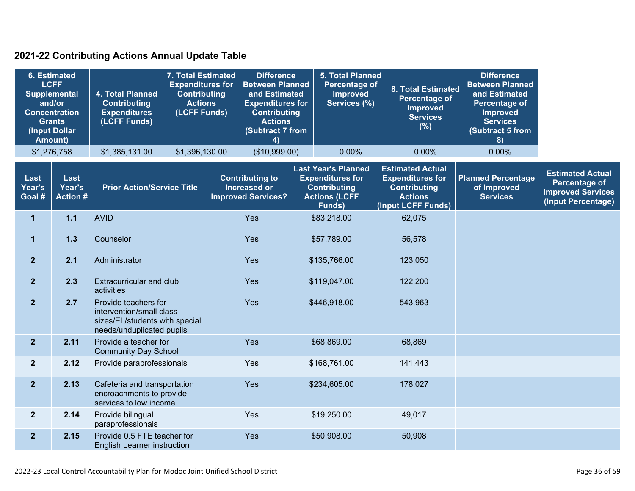## **2021-22 Contributing Actions Annual Update Table**

| <b>6. Estimated</b><br><b>LCFF</b><br><b>Supplemental</b><br>and/or<br><b>Concentration</b><br><b>Grants</b><br>(Input Dollar<br>Amount) |                                   | 4. Total Planned<br><b>Contributing</b><br><b>Expenditures</b><br>(LCFF Funds)                                  | 7. Total Estimated<br><b>Expenditures for</b><br><b>Contributing</b><br><b>Actions</b><br>(LCFF Funds) |     | <b>Difference</b><br><b>Between Planned</b><br>and Estimated<br><b>Expenditures for</b><br><b>Contributing</b><br><b>Actions</b><br><b>(Subtract 7 from</b><br>4 |             | <b>5. Total Planned</b><br><b>Percentage of</b><br><b>Improved</b><br>Services (%)                             |                                                                                                                   | 8. Total Estimated<br>Percentage of<br><b>Improved</b><br><b>Services</b><br>(%) | <b>Difference</b><br><b>Between Planned</b><br>and Estimated<br>Percentage of<br><b>Improved</b><br><b>Services</b><br>(Subtract 5 from<br>8) |                                                                                                   |
|------------------------------------------------------------------------------------------------------------------------------------------|-----------------------------------|-----------------------------------------------------------------------------------------------------------------|--------------------------------------------------------------------------------------------------------|-----|------------------------------------------------------------------------------------------------------------------------------------------------------------------|-------------|----------------------------------------------------------------------------------------------------------------|-------------------------------------------------------------------------------------------------------------------|----------------------------------------------------------------------------------|-----------------------------------------------------------------------------------------------------------------------------------------------|---------------------------------------------------------------------------------------------------|
|                                                                                                                                          | \$1,276,758                       | \$1,385,131.00                                                                                                  | \$1,396,130.00                                                                                         |     | (\$10,999.00)                                                                                                                                                    |             | 0.00%                                                                                                          |                                                                                                                   | 0.00%                                                                            | 0.00%                                                                                                                                         |                                                                                                   |
| Last<br>Year's<br>Goal #                                                                                                                 | Last<br>Year's<br><b>Action #</b> | <b>Prior Action/Service Title</b>                                                                               |                                                                                                        |     | <b>Contributing to</b><br><b>Increased or</b><br><b>Improved Services?</b>                                                                                       |             | <b>Last Year's Planned</b><br><b>Expenditures for</b><br><b>Contributing</b><br><b>Actions (LCFF</b><br>Funds) | <b>Estimated Actual</b><br><b>Expenditures for</b><br><b>Contributing</b><br><b>Actions</b><br>(Input LCFF Funds) |                                                                                  | <b>Planned Percentage</b><br>of Improved<br><b>Services</b>                                                                                   | <b>Estimated Actual</b><br><b>Percentage of</b><br><b>Improved Services</b><br>(Input Percentage) |
| $\mathbf{1}$                                                                                                                             | 1.1                               | <b>AVID</b>                                                                                                     |                                                                                                        | Yes |                                                                                                                                                                  |             | \$83,218.00                                                                                                    |                                                                                                                   | 62,075                                                                           |                                                                                                                                               |                                                                                                   |
| $\mathbf{1}$                                                                                                                             | 1.3                               | Counselor                                                                                                       |                                                                                                        | Yes |                                                                                                                                                                  | \$57,789.00 |                                                                                                                |                                                                                                                   | 56,578                                                                           |                                                                                                                                               |                                                                                                   |
| 2 <sup>1</sup>                                                                                                                           | 2.1                               | Administrator                                                                                                   |                                                                                                        | Yes |                                                                                                                                                                  |             | \$135,766.00                                                                                                   |                                                                                                                   | 123,050                                                                          |                                                                                                                                               |                                                                                                   |
| 2 <sup>1</sup>                                                                                                                           | 2.3                               | Extracurricular and club<br>activities                                                                          |                                                                                                        | Yes |                                                                                                                                                                  |             | \$119,047.00                                                                                                   |                                                                                                                   | 122,200                                                                          |                                                                                                                                               |                                                                                                   |
| 2 <sup>1</sup>                                                                                                                           | 2.7                               | Provide teachers for<br>intervention/small class<br>sizes/EL/students with special<br>needs/unduplicated pupils |                                                                                                        |     | Yes                                                                                                                                                              |             | \$446,918.00                                                                                                   |                                                                                                                   | 543,963                                                                          |                                                                                                                                               |                                                                                                   |
| $\overline{2}$                                                                                                                           | 2.11                              | Provide a teacher for<br><b>Community Day School</b>                                                            |                                                                                                        |     |                                                                                                                                                                  |             | \$68,869.00                                                                                                    |                                                                                                                   | 68,869                                                                           |                                                                                                                                               |                                                                                                   |
| $\overline{2}$                                                                                                                           | 2.12                              | Provide paraprofessionals                                                                                       |                                                                                                        |     | Yes                                                                                                                                                              |             | \$168,761.00                                                                                                   |                                                                                                                   | 141,443                                                                          |                                                                                                                                               |                                                                                                   |
| 2 <sup>2</sup>                                                                                                                           | 2.13                              | Cafeteria and transportation<br>encroachments to provide<br>services to low income                              |                                                                                                        |     | Yes                                                                                                                                                              |             | \$234,605.00                                                                                                   |                                                                                                                   | 178,027                                                                          |                                                                                                                                               |                                                                                                   |
| $\overline{2}$                                                                                                                           | 2.14                              | Provide bilingual<br>paraprofessionals                                                                          |                                                                                                        |     | Yes                                                                                                                                                              |             | \$19,250.00                                                                                                    |                                                                                                                   | 49,017                                                                           |                                                                                                                                               |                                                                                                   |
| $\overline{2}$                                                                                                                           | 2.15                              | Provide 0.5 FTE teacher for<br><b>English Learner instruction</b>                                               |                                                                                                        |     | Yes                                                                                                                                                              |             | \$50,908.00                                                                                                    |                                                                                                                   | 50,908                                                                           |                                                                                                                                               |                                                                                                   |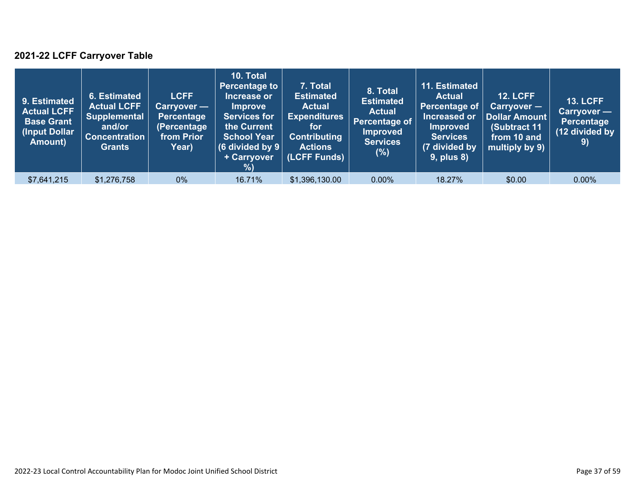## **2021-22 LCFF Carryover Table**

| 9. Estimated<br><b>Actual LCFF</b><br><b>Base Grant</b><br>(Input Dollar<br>Amount) | 6. Estimated<br><b>Actual LCFF</b><br><b>Supplemental</b><br>and/or<br><b>Concentration</b><br><b>Grants</b> | <b>LCFF</b><br>Carryover —<br><b>Percentage</b><br>(Percentage<br>from Prior<br>Year) | 10. Total<br><b>Percentage to</b><br>Increase or<br><b>Improve</b><br><b>Services for</b><br>the Current<br><b>School Year</b><br>(6 divided by $9$ $ $<br>+ Carryover<br>% | 7. Total<br><b>Estimated</b><br><b>Actual</b><br><b>Expenditures</b><br>for<br><b>Contributing</b><br><b>Actions</b><br>(LCFF Funds) | 8. Total<br><b>Estimated</b><br><b>Actual</b><br>Percentage of<br><b>Improved</b><br><b>Services</b><br>(%) | 11. Estimated<br><b>Actual</b><br>Percentage of<br>Increased or<br><b>Improved</b><br><b>Services</b><br>(7 divided by<br><b>9, plus 8)</b> | <b>12. LCFF</b><br>$Carryover -$<br>Dollar Amount<br>(Subtract 11<br>from 10 and<br>multiply by 9) | <b>13. LCFF</b><br>Carryover -<br><b>Percentage</b><br>(12 divided by<br>9) |
|-------------------------------------------------------------------------------------|--------------------------------------------------------------------------------------------------------------|---------------------------------------------------------------------------------------|-----------------------------------------------------------------------------------------------------------------------------------------------------------------------------|--------------------------------------------------------------------------------------------------------------------------------------|-------------------------------------------------------------------------------------------------------------|---------------------------------------------------------------------------------------------------------------------------------------------|----------------------------------------------------------------------------------------------------|-----------------------------------------------------------------------------|
| \$7,641,215                                                                         | \$1,276,758                                                                                                  | $0\%$                                                                                 | 16.71%                                                                                                                                                                      | \$1,396,130.00                                                                                                                       | $0.00\%$                                                                                                    | 18.27%                                                                                                                                      | \$0.00                                                                                             | $0.00\%$                                                                    |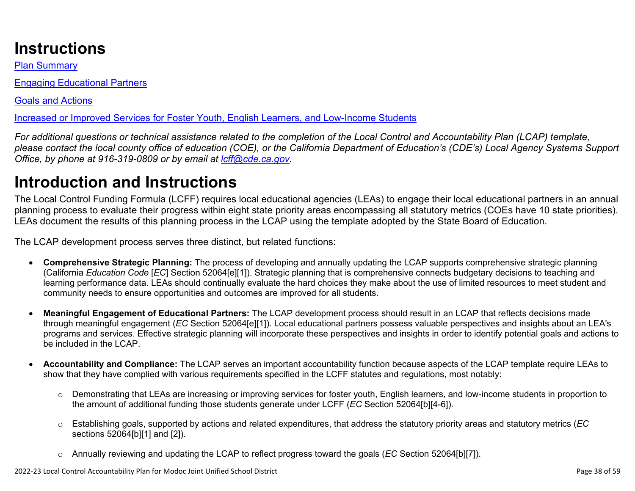# **Instructions**

Plan Summary

Engaging Educational Partners

Goals and Actions

Increased or Improved Services for Foster Youth, English Learners, and Low-Income Students

*For additional questions or technical assistance related to the completion of the Local Control and Accountability Plan (LCAP) template, please contact the local county office of education (COE), or the California Department of Education's (CDE's) Local Agency Systems Support Office, by phone at 916-319-0809 or by email at [lcff@cde.ca.gov](mailto:lcff@cde.ca.gov).*

# **Introduction and Instructions**

The Local Control Funding Formula (LCFF) requires local educational agencies (LEAs) to engage their local educational partners in an annual planning process to evaluate their progress within eight state priority areas encompassing all statutory metrics (COEs have 10 state priorities). LEAs document the results of this planning process in the LCAP using the template adopted by the State Board of Education.

The LCAP development process serves three distinct, but related functions:

- **Comprehensive Strategic Planning:** The process of developing and annually updating the LCAP supports comprehensive strategic planning (California *Education Code* [*EC*] Section 52064[e][1]). Strategic planning that is comprehensive connects budgetary decisions to teaching and learning performance data. LEAs should continually evaluate the hard choices they make about the use of limited resources to meet student and community needs to ensure opportunities and outcomes are improved for all students.
- **Meaningful Engagement of Educational Partners:** The LCAP development process should result in an LCAP that reflects decisions made through meaningful engagement (*EC* Section 52064[e][1]). Local educational partners possess valuable perspectives and insights about an LEA's programs and services. Effective strategic planning will incorporate these perspectives and insights in order to identify potential goals and actions to be included in the LCAP.
- **Accountability and Compliance:** The LCAP serves an important accountability function because aspects of the LCAP template require LEAs to show that they have complied with various requirements specified in the LCFF statutes and regulations, most notably:
	- o Demonstrating that LEAs are increasing or improving services for foster youth, English learners, and low-income students in proportion to the amount of additional funding those students generate under LCFF (*EC* Section 52064[b][4-6]).
	- o Establishing goals, supported by actions and related expenditures, that address the statutory priority areas and statutory metrics (*EC* sections 52064[b][1] and [2]).
	- o Annually reviewing and updating the LCAP to reflect progress toward the goals (*EC* Section 52064[b][7]).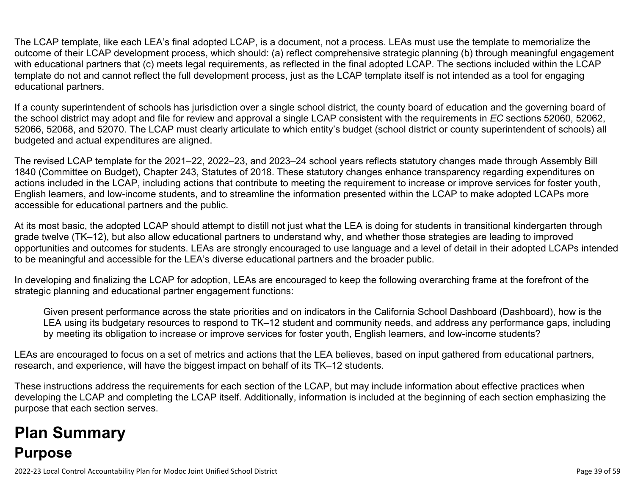The LCAP template, like each LEA's final adopted LCAP, is a document, not a process. LEAs must use the template to memorialize the outcome of their LCAP development process, which should: (a) reflect comprehensive strategic planning (b) through meaningful engagement with educational partners that (c) meets legal requirements, as reflected in the final adopted LCAP. The sections included within the LCAP template do not and cannot reflect the full development process, just as the LCAP template itself is not intended as a tool for engaging educational partners.

If a county superintendent of schools has jurisdiction over a single school district, the county board of education and the governing board of the school district may adopt and file for review and approval a single LCAP consistent with the requirements in *EC* sections 52060, 52062, 52066, 52068, and 52070. The LCAP must clearly articulate to which entity's budget (school district or county superintendent of schools) all budgeted and actual expenditures are aligned.

The revised LCAP template for the 2021–22, 2022–23, and 2023–24 school years reflects statutory changes made through Assembly Bill 1840 (Committee on Budget), Chapter 243, Statutes of 2018. These statutory changes enhance transparency regarding expenditures on actions included in the LCAP, including actions that contribute to meeting the requirement to increase or improve services for foster youth, English learners, and low-income students, and to streamline the information presented within the LCAP to make adopted LCAPs more accessible for educational partners and the public.

At its most basic, the adopted LCAP should attempt to distill not just what the LEA is doing for students in transitional kindergarten through grade twelve (TK–12), but also allow educational partners to understand why, and whether those strategies are leading to improved opportunities and outcomes for students. LEAs are strongly encouraged to use language and a level of detail in their adopted LCAPs intended to be meaningful and accessible for the LEA's diverse educational partners and the broader public.

In developing and finalizing the LCAP for adoption, LEAs are encouraged to keep the following overarching frame at the forefront of the strategic planning and educational partner engagement functions:

Given present performance across the state priorities and on indicators in the California School Dashboard (Dashboard), how is the LEA using its budgetary resources to respond to TK–12 student and community needs, and address any performance gaps, including by meeting its obligation to increase or improve services for foster youth, English learners, and low-income students?

LEAs are encouraged to focus on a set of metrics and actions that the LEA believes, based on input gathered from educational partners, research, and experience, will have the biggest impact on behalf of its TK–12 students.

These instructions address the requirements for each section of the LCAP, but may include information about effective practices when developing the LCAP and completing the LCAP itself. Additionally, information is included at the beginning of each section emphasizing the purpose that each section serves.

# **Plan Summary Purpose**

2022-23 Local Control Accountability Plan for Modoc Joint Unified School District Page 39 of 59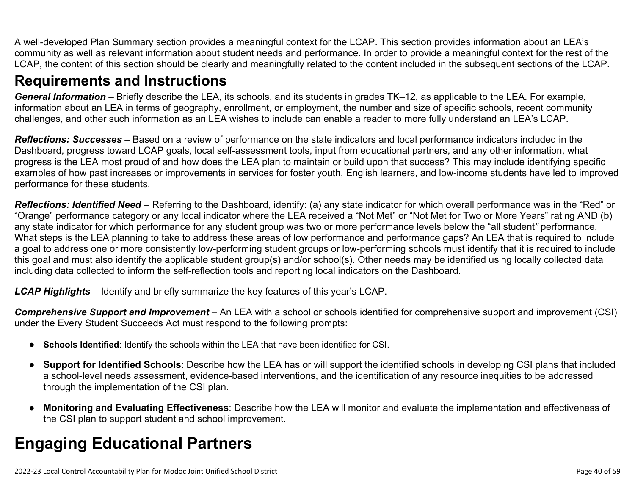A well-developed Plan Summary section provides a meaningful context for the LCAP. This section provides information about an LEA's community as well as relevant information about student needs and performance. In order to provide a meaningful context for the rest of the LCAP, the content of this section should be clearly and meaningfully related to the content included in the subsequent sections of the LCAP.

## **Requirements and Instructions**

*General Information* – Briefly describe the LEA, its schools, and its students in grades TK–12, as applicable to the LEA. For example, information about an LEA in terms of geography, enrollment, or employment, the number and size of specific schools, recent community challenges, and other such information as an LEA wishes to include can enable a reader to more fully understand an LEA's LCAP.

*Reflections: Successes* – Based on a review of performance on the state indicators and local performance indicators included in the Dashboard, progress toward LCAP goals, local self-assessment tools, input from educational partners, and any other information, what progress is the LEA most proud of and how does the LEA plan to maintain or build upon that success? This may include identifying specific examples of how past increases or improvements in services for foster youth, English learners, and low-income students have led to improved performance for these students.

*Reflections: Identified Need* – Referring to the Dashboard, identify: (a) any state indicator for which overall performance was in the "Red" or "Orange" performance category or any local indicator where the LEA received a "Not Met" or "Not Met for Two or More Years" rating AND (b) any state indicator for which performance for any student group was two or more performance levels below the "all student*"* performance. What steps is the LEA planning to take to address these areas of low performance and performance gaps? An LEA that is required to include a goal to address one or more consistently low-performing student groups or low-performing schools must identify that it is required to include this goal and must also identify the applicable student group(s) and/or school(s). Other needs may be identified using locally collected data including data collected to inform the self-reflection tools and reporting local indicators on the Dashboard.

*LCAP Highlights* – Identify and briefly summarize the key features of this year's LCAP.

*Comprehensive Support and Improvement* – An LEA with a school or schools identified for comprehensive support and improvement (CSI) under the Every Student Succeeds Act must respond to the following prompts:

- **Schools Identified**: Identify the schools within the LEA that have been identified for CSI.
- **Support for Identified Schools**: Describe how the LEA has or will support the identified schools in developing CSI plans that included a school-level needs assessment, evidence-based interventions, and the identification of any resource inequities to be addressed through the implementation of the CSI plan.
- **Monitoring and Evaluating Effectiveness**: Describe how the LEA will monitor and evaluate the implementation and effectiveness of the CSI plan to support student and school improvement.

# **Engaging Educational Partners**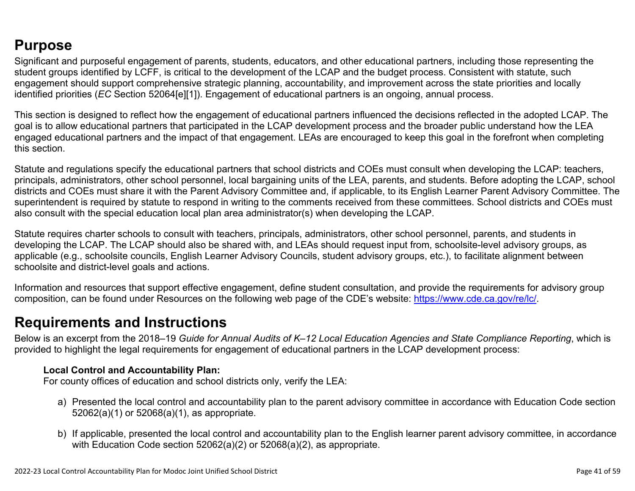## **Purpose**

Significant and purposeful engagement of parents, students, educators, and other educational partners, including those representing the student groups identified by LCFF, is critical to the development of the LCAP and the budget process. Consistent with statute, such engagement should support comprehensive strategic planning, accountability, and improvement across the state priorities and locally identified priorities (*EC* Section 52064[e][1]). Engagement of educational partners is an ongoing, annual process.

This section is designed to reflect how the engagement of educational partners influenced the decisions reflected in the adopted LCAP. The goal is to allow educational partners that participated in the LCAP development process and the broader public understand how the LEA engaged educational partners and the impact of that engagement. LEAs are encouraged to keep this goal in the forefront when completing this section.

Statute and regulations specify the educational partners that school districts and COEs must consult when developing the LCAP: teachers, principals, administrators, other school personnel, local bargaining units of the LEA, parents, and students. Before adopting the LCAP, school districts and COEs must share it with the Parent Advisory Committee and, if applicable, to its English Learner Parent Advisory Committee. The superintendent is required by statute to respond in writing to the comments received from these committees. School districts and COEs must also consult with the special education local plan area administrator(s) when developing the LCAP.

Statute requires charter schools to consult with teachers, principals, administrators, other school personnel, parents, and students in developing the LCAP. The LCAP should also be shared with, and LEAs should request input from, schoolsite-level advisory groups, as applicable (e.g., schoolsite councils, English Learner Advisory Councils, student advisory groups, etc.), to facilitate alignment between schoolsite and district-level goals and actions.

Information and resources that support effective engagement, define student consultation, and provide the requirements for advisory group composition, can be found under Resources on the following web page of the CDE's website: <https://www.cde.ca.gov/re/lc/>.

## **Requirements and Instructions**

Below is an excerpt from the 2018–19 *Guide for Annual Audits of K–12 Local Education Agencies and State Compliance Reporting*, which is provided to highlight the legal requirements for engagement of educational partners in the LCAP development process:

### **Local Control and Accountability Plan:**

For county offices of education and school districts only, verify the LEA:

- a) Presented the local control and accountability plan to the parent advisory committee in accordance with Education Code section 52062(a)(1) or 52068(a)(1), as appropriate.
- b) If applicable, presented the local control and accountability plan to the English learner parent advisory committee, in accordance with Education Code section 52062(a)(2) or 52068(a)(2), as appropriate.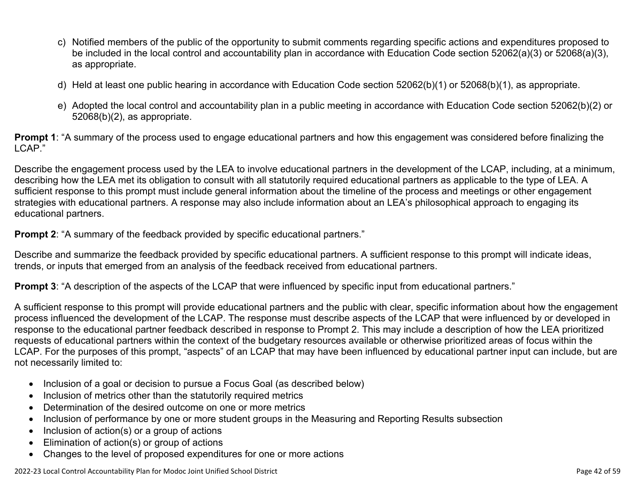- c) Notified members of the public of the opportunity to submit comments regarding specific actions and expenditures proposed to be included in the local control and accountability plan in accordance with Education Code section 52062(a)(3) or 52068(a)(3), as appropriate.
- d) Held at least one public hearing in accordance with Education Code section 52062(b)(1) or 52068(b)(1), as appropriate.
- e) Adopted the local control and accountability plan in a public meeting in accordance with Education Code section 52062(b)(2) or 52068(b)(2), as appropriate.

**Prompt 1**: "A summary of the process used to engage educational partners and how this engagement was considered before finalizing the LCAP."

Describe the engagement process used by the LEA to involve educational partners in the development of the LCAP, including, at a minimum, describing how the LEA met its obligation to consult with all statutorily required educational partners as applicable to the type of LEA. A sufficient response to this prompt must include general information about the timeline of the process and meetings or other engagement strategies with educational partners. A response may also include information about an LEA's philosophical approach to engaging its educational partners.

**Prompt 2:** "A summary of the feedback provided by specific educational partners."

Describe and summarize the feedback provided by specific educational partners. A sufficient response to this prompt will indicate ideas, trends, or inputs that emerged from an analysis of the feedback received from educational partners.

**Prompt 3**: "A description of the aspects of the LCAP that were influenced by specific input from educational partners."

A sufficient response to this prompt will provide educational partners and the public with clear, specific information about how the engagement process influenced the development of the LCAP. The response must describe aspects of the LCAP that were influenced by or developed in response to the educational partner feedback described in response to Prompt 2. This may include a description of how the LEA prioritized requests of educational partners within the context of the budgetary resources available or otherwise prioritized areas of focus within the LCAP. For the purposes of this prompt, "aspects" of an LCAP that may have been influenced by educational partner input can include, but are not necessarily limited to:

- Inclusion of a goal or decision to pursue a Focus Goal (as described below)
- Inclusion of metrics other than the statutorily required metrics
- Determination of the desired outcome on one or more metrics
- Inclusion of performance by one or more student groups in the Measuring and Reporting Results subsection
- Inclusion of action(s) or a group of actions
- Elimination of action(s) or group of actions
- Changes to the level of proposed expenditures for one or more actions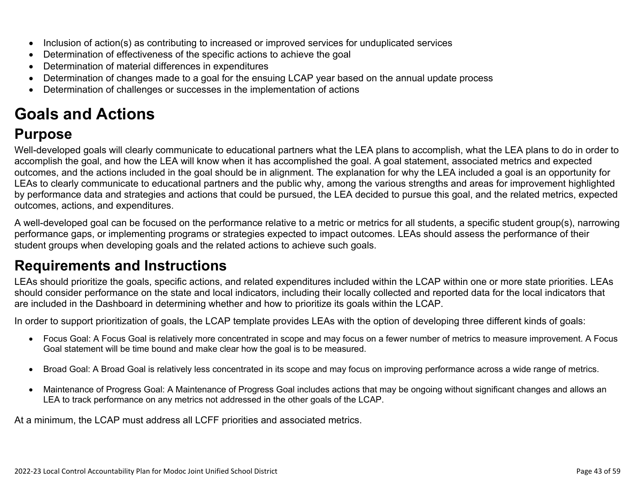- Inclusion of action(s) as contributing to increased or improved services for unduplicated services
- Determination of effectiveness of the specific actions to achieve the goal
- Determination of material differences in expenditures
- Determination of changes made to a goal for the ensuing LCAP year based on the annual update process
- Determination of challenges or successes in the implementation of actions

# **Goals and Actions**

## **Purpose**

Well-developed goals will clearly communicate to educational partners what the LEA plans to accomplish, what the LEA plans to do in order to accomplish the goal, and how the LEA will know when it has accomplished the goal. A goal statement, associated metrics and expected outcomes, and the actions included in the goal should be in alignment. The explanation for why the LEA included a goal is an opportunity for LEAs to clearly communicate to educational partners and the public why, among the various strengths and areas for improvement highlighted by performance data and strategies and actions that could be pursued, the LEA decided to pursue this goal, and the related metrics, expected outcomes, actions, and expenditures.

A well-developed goal can be focused on the performance relative to a metric or metrics for all students, a specific student group(s), narrowing performance gaps, or implementing programs or strategies expected to impact outcomes. LEAs should assess the performance of their student groups when developing goals and the related actions to achieve such goals.

## **Requirements and Instructions**

LEAs should prioritize the goals, specific actions, and related expenditures included within the LCAP within one or more state priorities. LEAs should consider performance on the state and local indicators, including their locally collected and reported data for the local indicators that are included in the Dashboard in determining whether and how to prioritize its goals within the LCAP.

In order to support prioritization of goals, the LCAP template provides LEAs with the option of developing three different kinds of goals:

- Focus Goal: A Focus Goal is relatively more concentrated in scope and may focus on a fewer number of metrics to measure improvement. A Focus Goal statement will be time bound and make clear how the goal is to be measured.
- Broad Goal: A Broad Goal is relatively less concentrated in its scope and may focus on improving performance across a wide range of metrics.
- Maintenance of Progress Goal: A Maintenance of Progress Goal includes actions that may be ongoing without significant changes and allows an LEA to track performance on any metrics not addressed in the other goals of the LCAP.

At a minimum, the LCAP must address all LCFF priorities and associated metrics.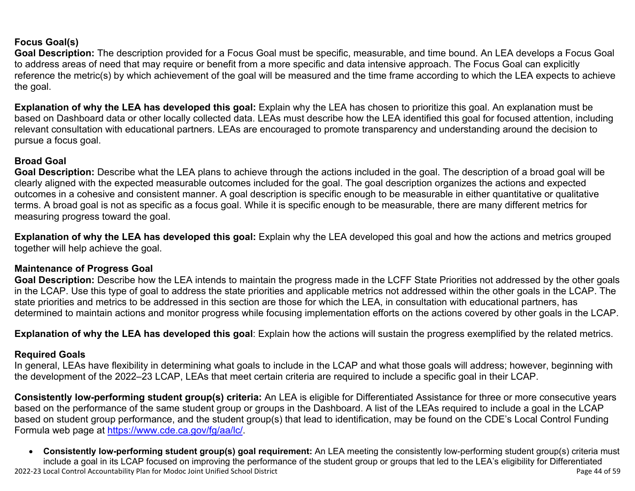### **Focus Goal(s)**

**Goal Description:** The description provided for a Focus Goal must be specific, measurable, and time bound. An LEA develops a Focus Goal to address areas of need that may require or benefit from a more specific and data intensive approach. The Focus Goal can explicitly reference the metric(s) by which achievement of the goal will be measured and the time frame according to which the LEA expects to achieve the goal.

**Explanation of why the LEA has developed this goal:** Explain why the LEA has chosen to prioritize this goal. An explanation must be based on Dashboard data or other locally collected data. LEAs must describe how the LEA identified this goal for focused attention, including relevant consultation with educational partners. LEAs are encouraged to promote transparency and understanding around the decision to pursue a focus goal.

#### **Broad Goal**

Goal Description: Describe what the LEA plans to achieve through the actions included in the goal. The description of a broad goal will be clearly aligned with the expected measurable outcomes included for the goal. The goal description organizes the actions and expected outcomes in a cohesive and consistent manner. A goal description is specific enough to be measurable in either quantitative or qualitative terms. A broad goal is not as specific as a focus goal. While it is specific enough to be measurable, there are many different metrics for measuring progress toward the goal.

**Explanation of why the LEA has developed this goal:** Explain why the LEA developed this goal and how the actions and metrics grouped together will help achieve the goal.

### **Maintenance of Progress Goal**

**Goal Description:** Describe how the LEA intends to maintain the progress made in the LCFF State Priorities not addressed by the other goals in the LCAP. Use this type of goal to address the state priorities and applicable metrics not addressed within the other goals in the LCAP. The state priorities and metrics to be addressed in this section are those for which the LEA, in consultation with educational partners, has determined to maintain actions and monitor progress while focusing implementation efforts on the actions covered by other goals in the LCAP.

**Explanation of why the LEA has developed this goal**: Explain how the actions will sustain the progress exemplified by the related metrics.

#### **Required Goals**

In general, LEAs have flexibility in determining what goals to include in the LCAP and what those goals will address; however, beginning with the development of the 2022–23 LCAP, LEAs that meet certain criteria are required to include a specific goal in their LCAP.

**Consistently low-performing student group(s) criteria:** An LEA is eligible for Differentiated Assistance for three or more consecutive years based on the performance of the same student group or groups in the Dashboard. A list of the LEAs required to include a goal in the LCAP based on student group performance, and the student group(s) that lead to identification, may be found on the CDE's Local Control Funding Formula web page at [https://www.cde.ca.gov/fg/aa/lc/.](https://www.cde.ca.gov/fg/aa/lc/)

2022-23 Local Control Accountability Plan for Modoc Joint Unified School District Page 44 of 59 • **Consistently low-performing student group(s) goal requirement:** An LEA meeting the consistently low-performing student group(s) criteria must include a goal in its LCAP focused on improving the performance of the student group or groups that led to the LEA's eligibility for Differentiated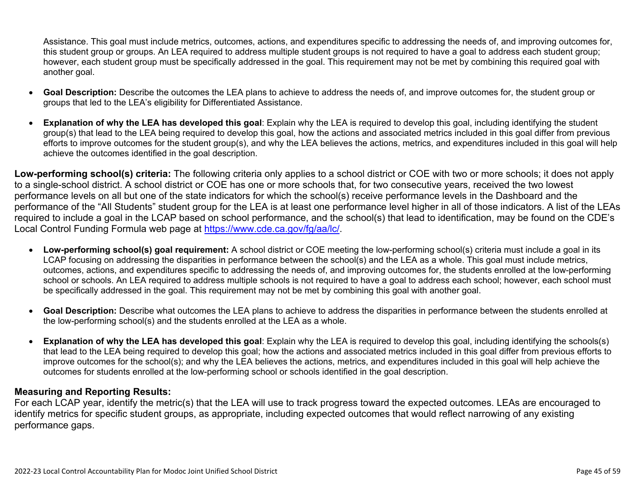Assistance. This goal must include metrics, outcomes, actions, and expenditures specific to addressing the needs of, and improving outcomes for, this student group or groups. An LEA required to address multiple student groups is not required to have a goal to address each student group; however, each student group must be specifically addressed in the goal. This requirement may not be met by combining this required goal with another goal.

- **Goal Description:** Describe the outcomes the LEA plans to achieve to address the needs of, and improve outcomes for, the student group or groups that led to the LEA's eligibility for Differentiated Assistance.
- **Explanation of why the LEA has developed this goal**: Explain why the LEA is required to develop this goal, including identifying the student group(s) that lead to the LEA being required to develop this goal, how the actions and associated metrics included in this goal differ from previous efforts to improve outcomes for the student group(s), and why the LEA believes the actions, metrics, and expenditures included in this goal will help achieve the outcomes identified in the goal description.

**Low-performing school(s) criteria:** The following criteria only applies to a school district or COE with two or more schools; it does not apply to a single-school district. A school district or COE has one or more schools that, for two consecutive years, received the two lowest performance levels on all but one of the state indicators for which the school(s) receive performance levels in the Dashboard and the performance of the "All Students" student group for the LEA is at least one performance level higher in all of those indicators. A list of the LEAs required to include a goal in the LCAP based on school performance, and the school(s) that lead to identification, may be found on the CDE's Local Control Funding Formula web page at [https://www.cde.ca.gov/fg/aa/lc/.](https://www.cde.ca.gov/fg/aa/lc/)

- **Low-performing school(s) goal requirement:** A school district or COE meeting the low-performing school(s) criteria must include a goal in its LCAP focusing on addressing the disparities in performance between the school(s) and the LEA as a whole. This goal must include metrics, outcomes, actions, and expenditures specific to addressing the needs of, and improving outcomes for, the students enrolled at the low-performing school or schools. An LEA required to address multiple schools is not required to have a goal to address each school; however, each school must be specifically addressed in the goal. This requirement may not be met by combining this goal with another goal.
- **Goal Description:** Describe what outcomes the LEA plans to achieve to address the disparities in performance between the students enrolled at the low-performing school(s) and the students enrolled at the LEA as a whole.
- **Explanation of why the LEA has developed this goal**: Explain why the LEA is required to develop this goal, including identifying the schools(s) that lead to the LEA being required to develop this goal; how the actions and associated metrics included in this goal differ from previous efforts to improve outcomes for the school(s); and why the LEA believes the actions, metrics, and expenditures included in this goal will help achieve the outcomes for students enrolled at the low-performing school or schools identified in the goal description.

### **Measuring and Reporting Results:**

For each LCAP year, identify the metric(s) that the LEA will use to track progress toward the expected outcomes. LEAs are encouraged to identify metrics for specific student groups, as appropriate, including expected outcomes that would reflect narrowing of any existing performance gaps.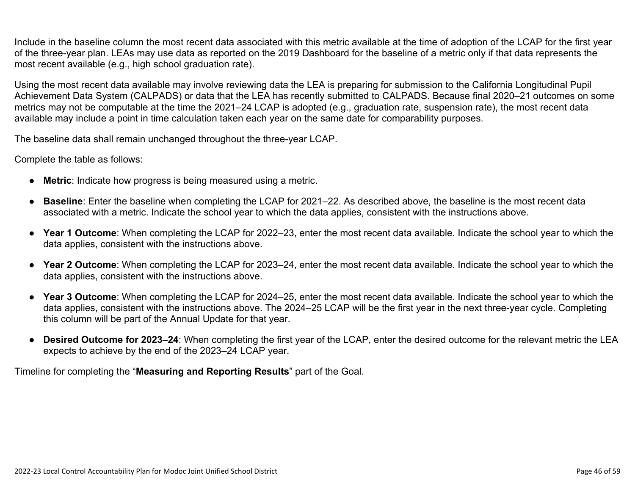Include in the baseline column the most recent data associated with this metric available at the time of adoption of the LCAP for the first year of the three-year plan. LEAs may use data as reported on the 2019 Dashboard for the baseline of a metric only if that data represents the most recent available (e.g., high school graduation rate).

Using the most recent data available may involve reviewing data the LEA is preparing for submission to the California Longitudinal Pupil Achievement Data System (CALPADS) or data that the LEA has recently submitted to CALPADS. Because final 2020–21 outcomes on some metrics may not be computable at the time the 2021–24 LCAP is adopted (e.g., graduation rate, suspension rate), the most recent data available may include a point in time calculation taken each year on the same date for comparability purposes.

The baseline data shall remain unchanged throughout the three-year LCAP.

Complete the table as follows:

- **Metric**: Indicate how progress is being measured using a metric.
- **Baseline**: Enter the baseline when completing the LCAP for 2021–22. As described above, the baseline is the most recent data associated with a metric. Indicate the school year to which the data applies, consistent with the instructions above.
- **Year 1 Outcome**: When completing the LCAP for 2022–23, enter the most recent data available. Indicate the school year to which the data applies, consistent with the instructions above.
- **Year 2 Outcome**: When completing the LCAP for 2023–24, enter the most recent data available. Indicate the school year to which the data applies, consistent with the instructions above.
- **Year 3 Outcome**: When completing the LCAP for 2024–25, enter the most recent data available. Indicate the school year to which the data applies, consistent with the instructions above. The 2024–25 LCAP will be the first year in the next three-year cycle. Completing this column will be part of the Annual Update for that year.
- **Desired Outcome for 2023**–**24**: When completing the first year of the LCAP, enter the desired outcome for the relevant metric the LEA expects to achieve by the end of the 2023–24 LCAP year.

Timeline for completing the "**Measuring and Reporting Results**" part of the Goal.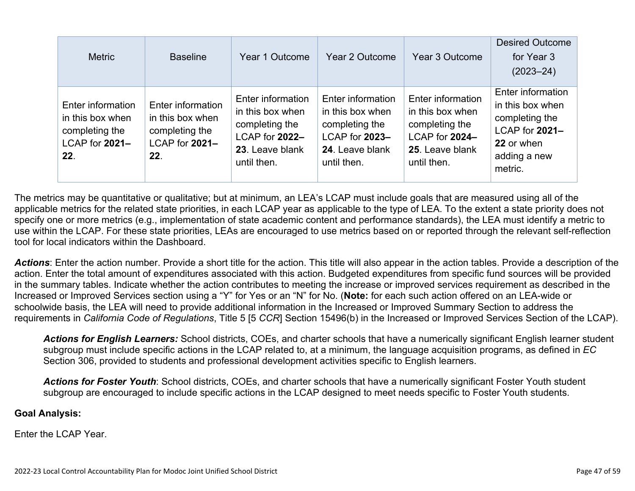| <b>Metric</b>                                                                    | <b>Baseline</b>                                                                  | Year 1 Outcome                                                                                              | Year 2 Outcome                                                                                              | Year 3 Outcome                                                                                              | <b>Desired Outcome</b><br>for Year 3<br>$(2023 - 24)$                                                              |
|----------------------------------------------------------------------------------|----------------------------------------------------------------------------------|-------------------------------------------------------------------------------------------------------------|-------------------------------------------------------------------------------------------------------------|-------------------------------------------------------------------------------------------------------------|--------------------------------------------------------------------------------------------------------------------|
| Enter information<br>in this box when<br>completing the<br>LCAP for 2021-<br>22. | Enter information<br>in this box when<br>completing the<br>LCAP for 2021-<br>22. | Enter information<br>in this box when<br>completing the<br>LCAP for 2022-<br>23. Leave blank<br>until then. | Enter information<br>in this box when<br>completing the<br>LCAP for 2023-<br>24. Leave blank<br>until then. | Enter information<br>in this box when<br>completing the<br>LCAP for 2024-<br>25. Leave blank<br>until then. | Enter information<br>in this box when<br>completing the<br>LCAP for 2021-<br>22 or when<br>adding a new<br>metric. |

The metrics may be quantitative or qualitative; but at minimum, an LEA's LCAP must include goals that are measured using all of the applicable metrics for the related state priorities, in each LCAP year as applicable to the type of LEA. To the extent a state priority does not specify one or more metrics (e.g., implementation of state academic content and performance standards), the LEA must identify a metric to use within the LCAP. For these state priorities, LEAs are encouraged to use metrics based on or reported through the relevant self-reflection tool for local indicators within the Dashboard.

*Actions*: Enter the action number. Provide a short title for the action. This title will also appear in the action tables. Provide a description of the action. Enter the total amount of expenditures associated with this action. Budgeted expenditures from specific fund sources will be provided in the summary tables. Indicate whether the action contributes to meeting the increase or improved services requirement as described in the Increased or Improved Services section using a "Y" for Yes or an "N" for No. (**Note:** for each such action offered on an LEA-wide or schoolwide basis, the LEA will need to provide additional information in the Increased or Improved Summary Section to address the requirements in *California Code of Regulations*, Title 5 [5 *CCR*] Section 15496(b) in the Increased or Improved Services Section of the LCAP).

*Actions for English Learners:* School districts, COEs, and charter schools that have a numerically significant English learner student subgroup must include specific actions in the LCAP related to, at a minimum, the language acquisition programs, as defined in *EC* Section 306, provided to students and professional development activities specific to English learners.

*Actions for Foster Youth*: School districts, COEs, and charter schools that have a numerically significant Foster Youth student subgroup are encouraged to include specific actions in the LCAP designed to meet needs specific to Foster Youth students.

#### **Goal Analysis:**

Enter the LCAP Year.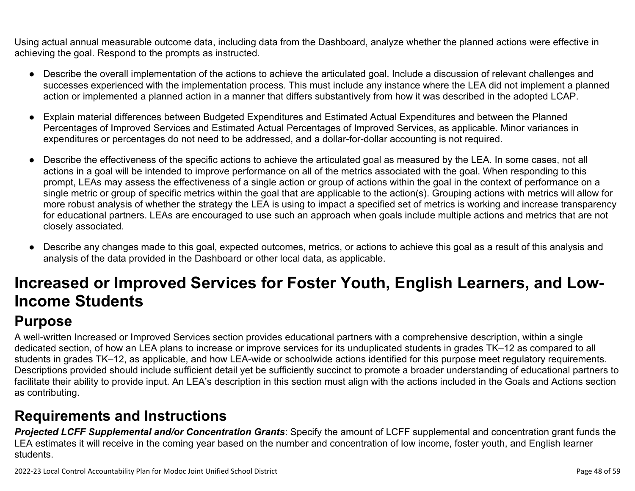Using actual annual measurable outcome data, including data from the Dashboard, analyze whether the planned actions were effective in achieving the goal. Respond to the prompts as instructed.

- Describe the overall implementation of the actions to achieve the articulated goal. Include a discussion of relevant challenges and successes experienced with the implementation process. This must include any instance where the LEA did not implement a planned action or implemented a planned action in a manner that differs substantively from how it was described in the adopted LCAP.
- Explain material differences between Budgeted Expenditures and Estimated Actual Expenditures and between the Planned Percentages of Improved Services and Estimated Actual Percentages of Improved Services, as applicable. Minor variances in expenditures or percentages do not need to be addressed, and a dollar-for-dollar accounting is not required.
- Describe the effectiveness of the specific actions to achieve the articulated goal as measured by the LEA. In some cases, not all actions in a goal will be intended to improve performance on all of the metrics associated with the goal. When responding to this prompt, LEAs may assess the effectiveness of a single action or group of actions within the goal in the context of performance on a single metric or group of specific metrics within the goal that are applicable to the action(s). Grouping actions with metrics will allow for more robust analysis of whether the strategy the LEA is using to impact a specified set of metrics is working and increase transparency for educational partners. LEAs are encouraged to use such an approach when goals include multiple actions and metrics that are not closely associated.
- Describe any changes made to this goal, expected outcomes, metrics, or actions to achieve this goal as a result of this analysis and analysis of the data provided in the Dashboard or other local data, as applicable.

# **Increased or Improved Services for Foster Youth, English Learners, and Low-Income Students**

# **Purpose**

A well-written Increased or Improved Services section provides educational partners with a comprehensive description, within a single dedicated section, of how an LEA plans to increase or improve services for its unduplicated students in grades TK–12 as compared to all students in grades TK–12, as applicable, and how LEA-wide or schoolwide actions identified for this purpose meet regulatory requirements. Descriptions provided should include sufficient detail yet be sufficiently succinct to promote a broader understanding of educational partners to facilitate their ability to provide input. An LEA's description in this section must align with the actions included in the Goals and Actions section as contributing.

# **Requirements and Instructions**

*Projected LCFF Supplemental and/or Concentration Grants*: Specify the amount of LCFF supplemental and concentration grant funds the LEA estimates it will receive in the coming year based on the number and concentration of low income, foster youth, and English learner students.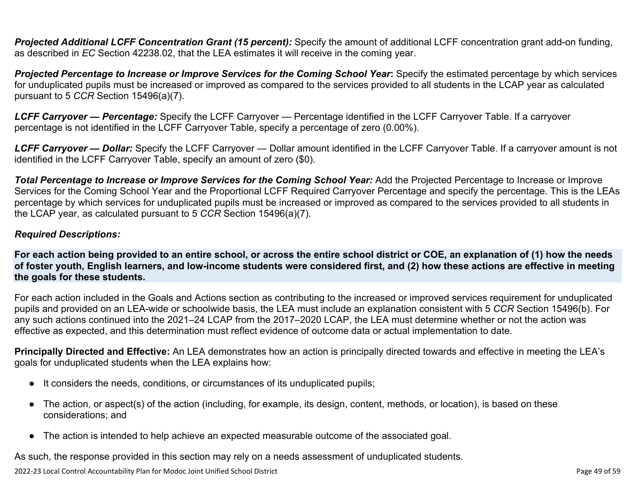**Projected Additional LCFF Concentration Grant (15 percent):** Specify the amount of additional LCFF concentration grant add-on funding, as described in *EC* Section 42238.02, that the LEA estimates it will receive in the coming year.

*Projected Percentage to Increase or Improve Services for the Coming School Year***:** Specify the estimated percentage by which services for unduplicated pupils must be increased or improved as compared to the services provided to all students in the LCAP year as calculated pursuant to 5 *CCR* Section 15496(a)(7).

*LCFF Carryover — Percentage:* Specify the LCFF Carryover — Percentage identified in the LCFF Carryover Table. If a carryover percentage is not identified in the LCFF Carryover Table, specify a percentage of zero (0.00%).

*LCFF Carryover — Dollar:* Specify the LCFF Carryover — Dollar amount identified in the LCFF Carryover Table. If a carryover amount is not identified in the LCFF Carryover Table, specify an amount of zero (\$0).

**Total Percentage to Increase or Improve Services for the Coming School Year:** Add the Projected Percentage to Increase or Improve Services for the Coming School Year and the Proportional LCFF Required Carryover Percentage and specify the percentage. This is the LEAs percentage by which services for unduplicated pupils must be increased or improved as compared to the services provided to all students in the LCAP year, as calculated pursuant to 5 *CCR* Section 15496(a)(7).

#### *Required Descriptions:*

**For each action being provided to an entire school, or across the entire school district or COE, an explanation of (1) how the needs of foster youth, English learners, and low-income students were considered first, and (2) how these actions are effective in meeting the goals for these students.**

For each action included in the Goals and Actions section as contributing to the increased or improved services requirement for unduplicated pupils and provided on an LEA-wide or schoolwide basis, the LEA must include an explanation consistent with 5 *CCR* Section 15496(b). For any such actions continued into the 2021–24 LCAP from the 2017–2020 LCAP, the LEA must determine whether or not the action was effective as expected, and this determination must reflect evidence of outcome data or actual implementation to date.

**Principally Directed and Effective:** An LEA demonstrates how an action is principally directed towards and effective in meeting the LEA's goals for unduplicated students when the LEA explains how:

- It considers the needs, conditions, or circumstances of its unduplicated pupils;
- The action, or aspect(s) of the action (including, for example, its design, content, methods, or location), is based on these considerations; and
- The action is intended to help achieve an expected measurable outcome of the associated goal.

As such, the response provided in this section may rely on a needs assessment of unduplicated students.

2022-23 Local Control Accountability Plan for Modoc Joint Unified School District Page 49 of 59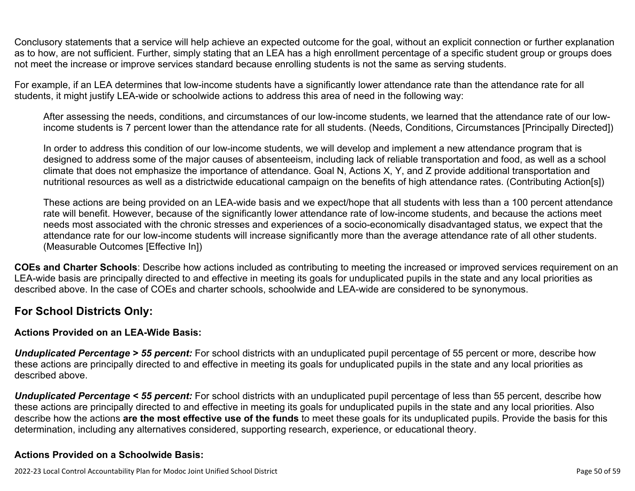Conclusory statements that a service will help achieve an expected outcome for the goal, without an explicit connection or further explanation as to how, are not sufficient. Further, simply stating that an LEA has a high enrollment percentage of a specific student group or groups does not meet the increase or improve services standard because enrolling students is not the same as serving students.

For example, if an LEA determines that low-income students have a significantly lower attendance rate than the attendance rate for all students, it might justify LEA-wide or schoolwide actions to address this area of need in the following way:

After assessing the needs, conditions, and circumstances of our low-income students, we learned that the attendance rate of our lowincome students is 7 percent lower than the attendance rate for all students. (Needs, Conditions, Circumstances [Principally Directed])

In order to address this condition of our low-income students, we will develop and implement a new attendance program that is designed to address some of the major causes of absenteeism, including lack of reliable transportation and food, as well as a school climate that does not emphasize the importance of attendance. Goal N, Actions X, Y, and Z provide additional transportation and nutritional resources as well as a districtwide educational campaign on the benefits of high attendance rates. (Contributing Action[s])

These actions are being provided on an LEA-wide basis and we expect/hope that all students with less than a 100 percent attendance rate will benefit. However, because of the significantly lower attendance rate of low-income students, and because the actions meet needs most associated with the chronic stresses and experiences of a socio-economically disadvantaged status, we expect that the attendance rate for our low-income students will increase significantly more than the average attendance rate of all other students. (Measurable Outcomes [Effective In])

**COEs and Charter Schools**: Describe how actions included as contributing to meeting the increased or improved services requirement on an LEA-wide basis are principally directed to and effective in meeting its goals for unduplicated pupils in the state and any local priorities as described above. In the case of COEs and charter schools, schoolwide and LEA-wide are considered to be synonymous.

### **For School Districts Only:**

### **Actions Provided on an LEA-Wide Basis:**

*Unduplicated Percentage > 55 percent:* For school districts with an unduplicated pupil percentage of 55 percent or more, describe how these actions are principally directed to and effective in meeting its goals for unduplicated pupils in the state and any local priorities as described above.

*Unduplicated Percentage < 55 percent:* For school districts with an unduplicated pupil percentage of less than 55 percent, describe how these actions are principally directed to and effective in meeting its goals for unduplicated pupils in the state and any local priorities. Also describe how the actions **are the most effective use of the funds** to meet these goals for its unduplicated pupils. Provide the basis for this determination, including any alternatives considered, supporting research, experience, or educational theory.

### **Actions Provided on a Schoolwide Basis:**

2022-23 Local Control Accountability Plan for Modoc Joint Unified School District Page 50 of 59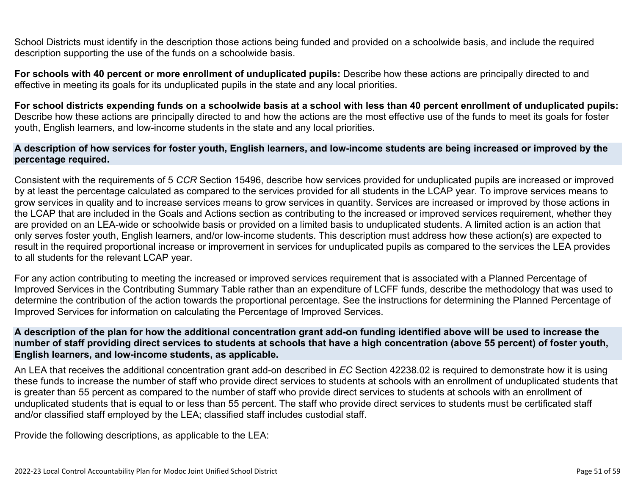School Districts must identify in the description those actions being funded and provided on a schoolwide basis, and include the required description supporting the use of the funds on a schoolwide basis.

**For schools with 40 percent or more enrollment of unduplicated pupils:** Describe how these actions are principally directed to and effective in meeting its goals for its unduplicated pupils in the state and any local priorities.

**For school districts expending funds on a schoolwide basis at a school with less than 40 percent enrollment of unduplicated pupils:** Describe how these actions are principally directed to and how the actions are the most effective use of the funds to meet its goals for foster youth, English learners, and low-income students in the state and any local priorities.

#### **A description of how services for foster youth, English learners, and low-income students are being increased or improved by the percentage required.**

Consistent with the requirements of 5 *CCR* Section 15496, describe how services provided for unduplicated pupils are increased or improved by at least the percentage calculated as compared to the services provided for all students in the LCAP year. To improve services means to grow services in quality and to increase services means to grow services in quantity. Services are increased or improved by those actions in the LCAP that are included in the Goals and Actions section as contributing to the increased or improved services requirement, whether they are provided on an LEA-wide or schoolwide basis or provided on a limited basis to unduplicated students. A limited action is an action that only serves foster youth, English learners, and/or low-income students. This description must address how these action(s) are expected to result in the required proportional increase or improvement in services for unduplicated pupils as compared to the services the LEA provides to all students for the relevant LCAP year.

For any action contributing to meeting the increased or improved services requirement that is associated with a Planned Percentage of Improved Services in the Contributing Summary Table rather than an expenditure of LCFF funds, describe the methodology that was used to determine the contribution of the action towards the proportional percentage. See the instructions for determining the Planned Percentage of Improved Services for information on calculating the Percentage of Improved Services.

#### **A description of the plan for how the additional concentration grant add-on funding identified above will be used to increase the number of staff providing direct services to students at schools that have a high concentration (above 55 percent) of foster youth, English learners, and low-income students, as applicable.**

An LEA that receives the additional concentration grant add-on described in *EC* Section 42238.02 is required to demonstrate how it is using these funds to increase the number of staff who provide direct services to students at schools with an enrollment of unduplicated students that is greater than 55 percent as compared to the number of staff who provide direct services to students at schools with an enrollment of unduplicated students that is equal to or less than 55 percent. The staff who provide direct services to students must be certificated staff and/or classified staff employed by the LEA; classified staff includes custodial staff.

Provide the following descriptions, as applicable to the LEA: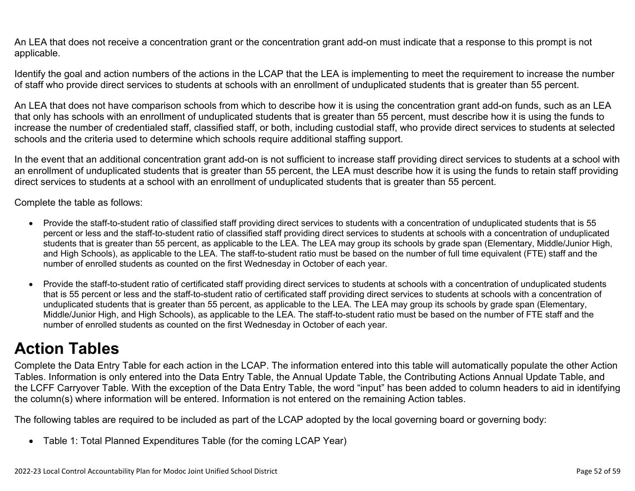An LEA that does not receive a concentration grant or the concentration grant add-on must indicate that a response to this prompt is not applicable.

Identify the goal and action numbers of the actions in the LCAP that the LEA is implementing to meet the requirement to increase the number of staff who provide direct services to students at schools with an enrollment of unduplicated students that is greater than 55 percent.

An LEA that does not have comparison schools from which to describe how it is using the concentration grant add-on funds, such as an LEA that only has schools with an enrollment of unduplicated students that is greater than 55 percent, must describe how it is using the funds to increase the number of credentialed staff, classified staff, or both, including custodial staff, who provide direct services to students at selected schools and the criteria used to determine which schools require additional staffing support.

In the event that an additional concentration grant add-on is not sufficient to increase staff providing direct services to students at a school with an enrollment of unduplicated students that is greater than 55 percent, the LEA must describe how it is using the funds to retain staff providing direct services to students at a school with an enrollment of unduplicated students that is greater than 55 percent.

Complete the table as follows:

- Provide the staff-to-student ratio of classified staff providing direct services to students with a concentration of unduplicated students that is 55 percent or less and the staff-to-student ratio of classified staff providing direct services to students at schools with a concentration of unduplicated students that is greater than 55 percent, as applicable to the LEA. The LEA may group its schools by grade span (Elementary, Middle/Junior High, and High Schools), as applicable to the LEA. The staff-to-student ratio must be based on the number of full time equivalent (FTE) staff and the number of enrolled students as counted on the first Wednesday in October of each year.
- Provide the staff-to-student ratio of certificated staff providing direct services to students at schools with a concentration of unduplicated students that is 55 percent or less and the staff-to-student ratio of certificated staff providing direct services to students at schools with a concentration of unduplicated students that is greater than 55 percent, as applicable to the LEA. The LEA may group its schools by grade span (Elementary, Middle/Junior High, and High Schools), as applicable to the LEA. The staff-to-student ratio must be based on the number of FTE staff and the number of enrolled students as counted on the first Wednesday in October of each year.

# **Action Tables**

Complete the Data Entry Table for each action in the LCAP. The information entered into this table will automatically populate the other Action Tables. Information is only entered into the Data Entry Table, the Annual Update Table, the Contributing Actions Annual Update Table, and the LCFF Carryover Table. With the exception of the Data Entry Table, the word "input" has been added to column headers to aid in identifying the column(s) where information will be entered. Information is not entered on the remaining Action tables.

The following tables are required to be included as part of the LCAP adopted by the local governing board or governing body:

• Table 1: Total Planned Expenditures Table (for the coming LCAP Year)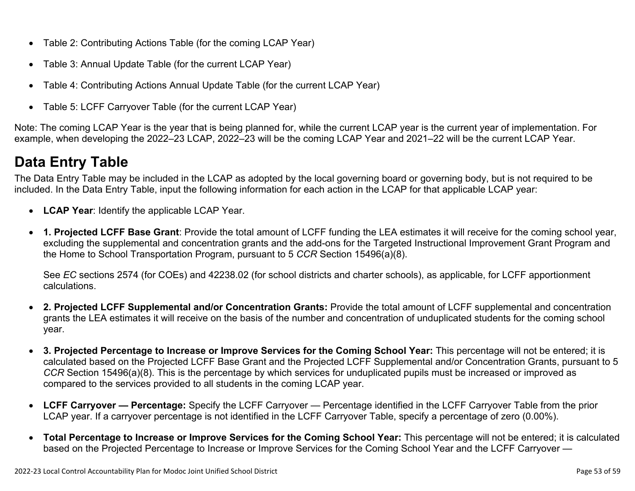- Table 2: Contributing Actions Table (for the coming LCAP Year)
- Table 3: Annual Update Table (for the current LCAP Year)
- Table 4: Contributing Actions Annual Update Table (for the current LCAP Year)
- Table 5: LCFF Carryover Table (for the current LCAP Year)

Note: The coming LCAP Year is the year that is being planned for, while the current LCAP year is the current year of implementation. For example, when developing the 2022–23 LCAP, 2022–23 will be the coming LCAP Year and 2021–22 will be the current LCAP Year.

# **Data Entry Table**

The Data Entry Table may be included in the LCAP as adopted by the local governing board or governing body, but is not required to be included. In the Data Entry Table, input the following information for each action in the LCAP for that applicable LCAP year:

- **LCAP Year**: Identify the applicable LCAP Year.
- **1. Projected LCFF Base Grant**: Provide the total amount of LCFF funding the LEA estimates it will receive for the coming school year, excluding the supplemental and concentration grants and the add-ons for the Targeted Instructional Improvement Grant Program and the Home to School Transportation Program, pursuant to 5 *CCR* Section 15496(a)(8).

See *EC* sections 2574 (for COEs) and 42238.02 (for school districts and charter schools), as applicable, for LCFF apportionment calculations.

- **2. Projected LCFF Supplemental and/or Concentration Grants:** Provide the total amount of LCFF supplemental and concentration grants the LEA estimates it will receive on the basis of the number and concentration of unduplicated students for the coming school year.
- **3. Projected Percentage to Increase or Improve Services for the Coming School Year:** This percentage will not be entered; it is calculated based on the Projected LCFF Base Grant and the Projected LCFF Supplemental and/or Concentration Grants, pursuant to 5 *CCR* Section 15496(a)(8). This is the percentage by which services for unduplicated pupils must be increased or improved as compared to the services provided to all students in the coming LCAP year.
- **LCFF Carryover Percentage:** Specify the LCFF Carryover Percentage identified in the LCFF Carryover Table from the prior LCAP year. If a carryover percentage is not identified in the LCFF Carryover Table, specify a percentage of zero (0.00%).
- **Total Percentage to Increase or Improve Services for the Coming School Year:** This percentage will not be entered; it is calculated based on the Projected Percentage to Increase or Improve Services for the Coming School Year and the LCFF Carryover —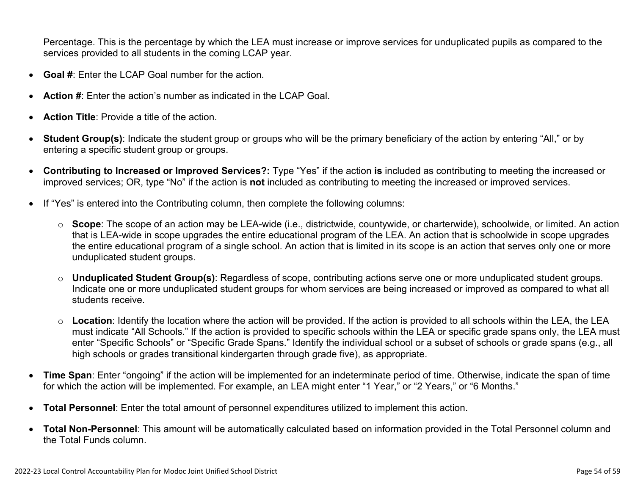Percentage. This is the percentage by which the LEA must increase or improve services for unduplicated pupils as compared to the services provided to all students in the coming LCAP year.

- **Goal #**: Enter the LCAP Goal number for the action.
- **Action #**: Enter the action's number as indicated in the LCAP Goal.
- **Action Title**: Provide a title of the action.
- **Student Group(s)**: Indicate the student group or groups who will be the primary beneficiary of the action by entering "All," or by entering a specific student group or groups.
- **Contributing to Increased or Improved Services?:** Type "Yes" if the action **is** included as contributing to meeting the increased or improved services; OR, type "No" if the action is **not** included as contributing to meeting the increased or improved services.
- If "Yes" is entered into the Contributing column, then complete the following columns:
	- o **Scope**: The scope of an action may be LEA-wide (i.e., districtwide, countywide, or charterwide), schoolwide, or limited. An action that is LEA-wide in scope upgrades the entire educational program of the LEA. An action that is schoolwide in scope upgrades the entire educational program of a single school. An action that is limited in its scope is an action that serves only one or more unduplicated student groups.
	- o **Unduplicated Student Group(s)**: Regardless of scope, contributing actions serve one or more unduplicated student groups. Indicate one or more unduplicated student groups for whom services are being increased or improved as compared to what all students receive.
	- o **Location**: Identify the location where the action will be provided. If the action is provided to all schools within the LEA, the LEA must indicate "All Schools." If the action is provided to specific schools within the LEA or specific grade spans only, the LEA must enter "Specific Schools" or "Specific Grade Spans." Identify the individual school or a subset of schools or grade spans (e.g., all high schools or grades transitional kindergarten through grade five), as appropriate.
- **Time Span**: Enter "ongoing" if the action will be implemented for an indeterminate period of time. Otherwise, indicate the span of time for which the action will be implemented. For example, an LEA might enter "1 Year," or "2 Years," or "6 Months."
- **Total Personnel**: Enter the total amount of personnel expenditures utilized to implement this action.
- **Total Non-Personnel**: This amount will be automatically calculated based on information provided in the Total Personnel column and the Total Funds column.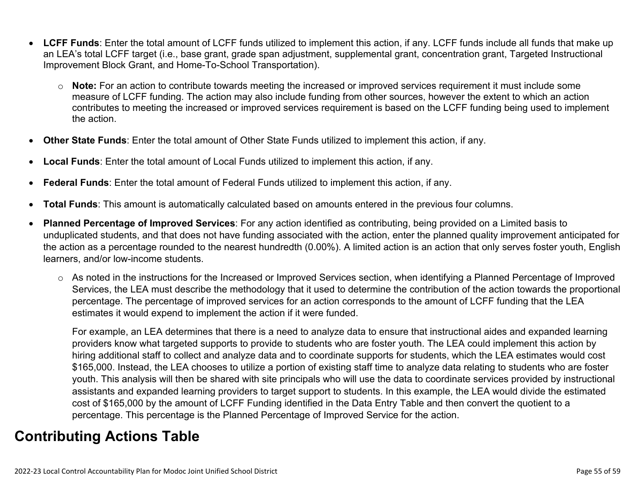- **LCFF Funds**: Enter the total amount of LCFF funds utilized to implement this action, if any. LCFF funds include all funds that make up an LEA's total LCFF target (i.e., base grant, grade span adjustment, supplemental grant, concentration grant, Targeted Instructional Improvement Block Grant, and Home-To-School Transportation).
	- o **Note:** For an action to contribute towards meeting the increased or improved services requirement it must include some measure of LCFF funding. The action may also include funding from other sources, however the extent to which an action contributes to meeting the increased or improved services requirement is based on the LCFF funding being used to implement the action.
- **Other State Funds**: Enter the total amount of Other State Funds utilized to implement this action, if any.
- **Local Funds**: Enter the total amount of Local Funds utilized to implement this action, if any.
- **Federal Funds**: Enter the total amount of Federal Funds utilized to implement this action, if any.
- **Total Funds**: This amount is automatically calculated based on amounts entered in the previous four columns.
- **Planned Percentage of Improved Services**: For any action identified as contributing, being provided on a Limited basis to unduplicated students, and that does not have funding associated with the action, enter the planned quality improvement anticipated for the action as a percentage rounded to the nearest hundredth (0.00%). A limited action is an action that only serves foster youth, English learners, and/or low-income students.
	- o As noted in the instructions for the Increased or Improved Services section, when identifying a Planned Percentage of Improved Services, the LEA must describe the methodology that it used to determine the contribution of the action towards the proportional percentage. The percentage of improved services for an action corresponds to the amount of LCFF funding that the LEA estimates it would expend to implement the action if it were funded.

For example, an LEA determines that there is a need to analyze data to ensure that instructional aides and expanded learning providers know what targeted supports to provide to students who are foster youth. The LEA could implement this action by hiring additional staff to collect and analyze data and to coordinate supports for students, which the LEA estimates would cost \$165,000. Instead, the LEA chooses to utilize a portion of existing staff time to analyze data relating to students who are foster youth. This analysis will then be shared with site principals who will use the data to coordinate services provided by instructional assistants and expanded learning providers to target support to students. In this example, the LEA would divide the estimated cost of \$165,000 by the amount of LCFF Funding identified in the Data Entry Table and then convert the quotient to a percentage. This percentage is the Planned Percentage of Improved Service for the action.

## **Contributing Actions Table**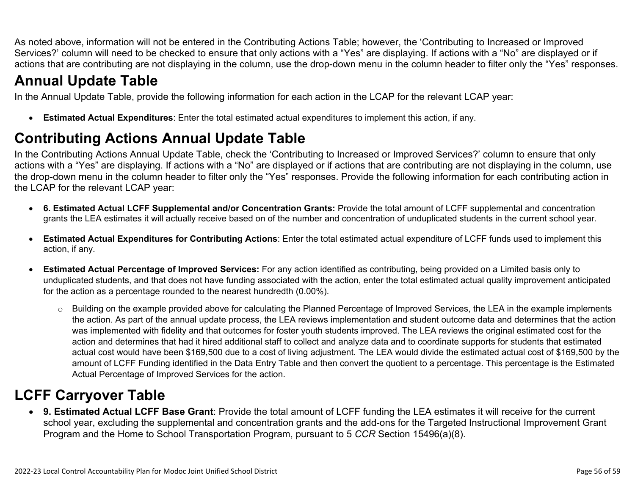As noted above, information will not be entered in the Contributing Actions Table; however, the 'Contributing to Increased or Improved Services?' column will need to be checked to ensure that only actions with a "Yes" are displaying. If actions with a "No" are displayed or if actions that are contributing are not displaying in the column, use the drop-down menu in the column header to filter only the "Yes" responses.

# **Annual Update Table**

In the Annual Update Table, provide the following information for each action in the LCAP for the relevant LCAP year:

• **Estimated Actual Expenditures**: Enter the total estimated actual expenditures to implement this action, if any.

# **Contributing Actions Annual Update Table**

In the Contributing Actions Annual Update Table, check the 'Contributing to Increased or Improved Services?' column to ensure that only actions with a "Yes" are displaying. If actions with a "No" are displayed or if actions that are contributing are not displaying in the column, use the drop-down menu in the column header to filter only the "Yes" responses. Provide the following information for each contributing action in the LCAP for the relevant LCAP year:

- **6. Estimated Actual LCFF Supplemental and/or Concentration Grants:** Provide the total amount of LCFF supplemental and concentration grants the LEA estimates it will actually receive based on of the number and concentration of unduplicated students in the current school year.
- **Estimated Actual Expenditures for Contributing Actions**: Enter the total estimated actual expenditure of LCFF funds used to implement this action, if any.
- **Estimated Actual Percentage of Improved Services:** For any action identified as contributing, being provided on a Limited basis only to unduplicated students, and that does not have funding associated with the action, enter the total estimated actual quality improvement anticipated for the action as a percentage rounded to the nearest hundredth (0.00%).
	- o Building on the example provided above for calculating the Planned Percentage of Improved Services, the LEA in the example implements the action. As part of the annual update process, the LEA reviews implementation and student outcome data and determines that the action was implemented with fidelity and that outcomes for foster youth students improved. The LEA reviews the original estimated cost for the action and determines that had it hired additional staff to collect and analyze data and to coordinate supports for students that estimated actual cost would have been \$169,500 due to a cost of living adjustment. The LEA would divide the estimated actual cost of \$169,500 by the amount of LCFF Funding identified in the Data Entry Table and then convert the quotient to a percentage. This percentage is the Estimated Actual Percentage of Improved Services for the action.

# **LCFF Carryover Table**

• **9. Estimated Actual LCFF Base Grant**: Provide the total amount of LCFF funding the LEA estimates it will receive for the current school year, excluding the supplemental and concentration grants and the add-ons for the Targeted Instructional Improvement Grant Program and the Home to School Transportation Program, pursuant to 5 *CCR* Section 15496(a)(8).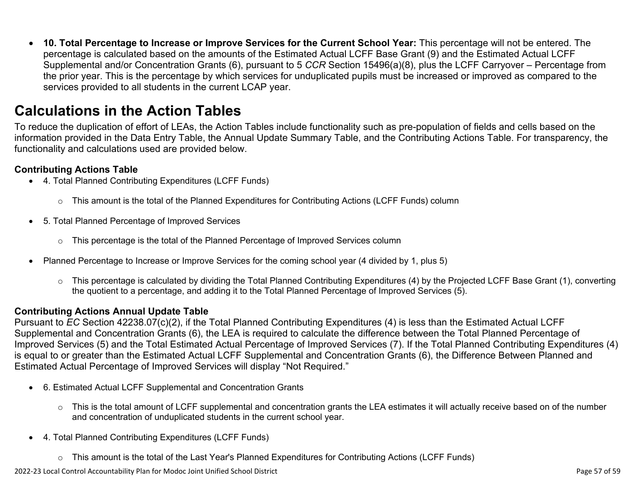• **10. Total Percentage to Increase or Improve Services for the Current School Year:** This percentage will not be entered. The percentage is calculated based on the amounts of the Estimated Actual LCFF Base Grant (9) and the Estimated Actual LCFF Supplemental and/or Concentration Grants (6), pursuant to 5 *CCR* Section 15496(a)(8), plus the LCFF Carryover – Percentage from the prior year. This is the percentage by which services for unduplicated pupils must be increased or improved as compared to the services provided to all students in the current LCAP year.

## **Calculations in the Action Tables**

To reduce the duplication of effort of LEAs, the Action Tables include functionality such as pre-population of fields and cells based on the information provided in the Data Entry Table, the Annual Update Summary Table, and the Contributing Actions Table. For transparency, the functionality and calculations used are provided below.

#### **Contributing Actions Table**

- 4. Total Planned Contributing Expenditures (LCFF Funds)
	- $\circ$  This amount is the total of the Planned Expenditures for Contributing Actions (LCFF Funds) column
- 5. Total Planned Percentage of Improved Services
	- $\circ$  This percentage is the total of the Planned Percentage of Improved Services column
- Planned Percentage to Increase or Improve Services for the coming school year (4 divided by 1, plus 5)
	- o This percentage is calculated by dividing the Total Planned Contributing Expenditures (4) by the Projected LCFF Base Grant (1), converting the quotient to a percentage, and adding it to the Total Planned Percentage of Improved Services (5).

### **Contributing Actions Annual Update Table**

Pursuant to *EC* Section 42238.07(c)(2), if the Total Planned Contributing Expenditures (4) is less than the Estimated Actual LCFF Supplemental and Concentration Grants (6), the LEA is required to calculate the difference between the Total Planned Percentage of Improved Services (5) and the Total Estimated Actual Percentage of Improved Services (7). If the Total Planned Contributing Expenditures (4) is equal to or greater than the Estimated Actual LCFF Supplemental and Concentration Grants (6), the Difference Between Planned and Estimated Actual Percentage of Improved Services will display "Not Required."

- 6. Estimated Actual LCFF Supplemental and Concentration Grants
	- o This is the total amount of LCFF supplemental and concentration grants the LEA estimates it will actually receive based on of the number and concentration of unduplicated students in the current school year.
- 4. Total Planned Contributing Expenditures (LCFF Funds)
	- $\circ$  This amount is the total of the Last Year's Planned Expenditures for Contributing Actions (LCFF Funds)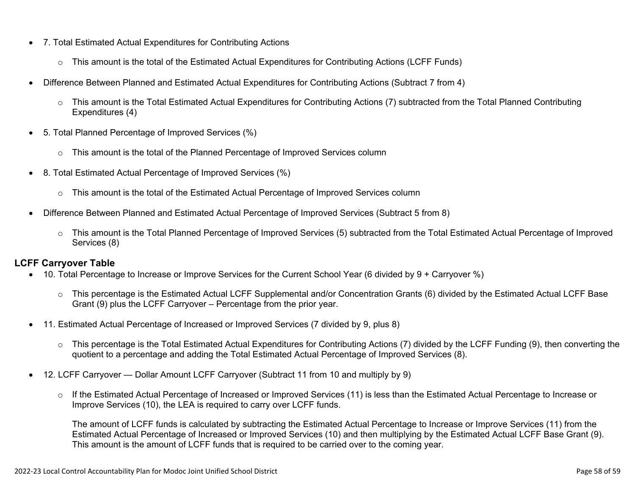- 7. Total Estimated Actual Expenditures for Contributing Actions
	- o This amount is the total of the Estimated Actual Expenditures for Contributing Actions (LCFF Funds)
- Difference Between Planned and Estimated Actual Expenditures for Contributing Actions (Subtract 7 from 4)
	- $\circ$  This amount is the Total Estimated Actual Expenditures for Contributing Actions (7) subtracted from the Total Planned Contributing Expenditures (4)
- 5. Total Planned Percentage of Improved Services (%)
	- $\circ$  This amount is the total of the Planned Percentage of Improved Services column
- 8. Total Estimated Actual Percentage of Improved Services (%)
	- o This amount is the total of the Estimated Actual Percentage of Improved Services column
- Difference Between Planned and Estimated Actual Percentage of Improved Services (Subtract 5 from 8)
	- o This amount is the Total Planned Percentage of Improved Services (5) subtracted from the Total Estimated Actual Percentage of Improved Services (8)

### **LCFF Carryover Table**

- 10. Total Percentage to Increase or Improve Services for the Current School Year (6 divided by 9 + Carryover %)
	- $\circ$  This percentage is the Estimated Actual LCFF Supplemental and/or Concentration Grants (6) divided by the Estimated Actual LCFF Base Grant (9) plus the LCFF Carryover – Percentage from the prior year.
- 11. Estimated Actual Percentage of Increased or Improved Services (7 divided by 9, plus 8)
	- o This percentage is the Total Estimated Actual Expenditures for Contributing Actions (7) divided by the LCFF Funding (9), then converting the quotient to a percentage and adding the Total Estimated Actual Percentage of Improved Services (8).
- 12. LCFF Carryover Dollar Amount LCFF Carryover (Subtract 11 from 10 and multiply by 9)
	- $\circ$  If the Estimated Actual Percentage of Increased or Improved Services (11) is less than the Estimated Actual Percentage to Increase or Improve Services (10), the LEA is required to carry over LCFF funds.

The amount of LCFF funds is calculated by subtracting the Estimated Actual Percentage to Increase or Improve Services (11) from the Estimated Actual Percentage of Increased or Improved Services (10) and then multiplying by the Estimated Actual LCFF Base Grant (9). This amount is the amount of LCFF funds that is required to be carried over to the coming year.